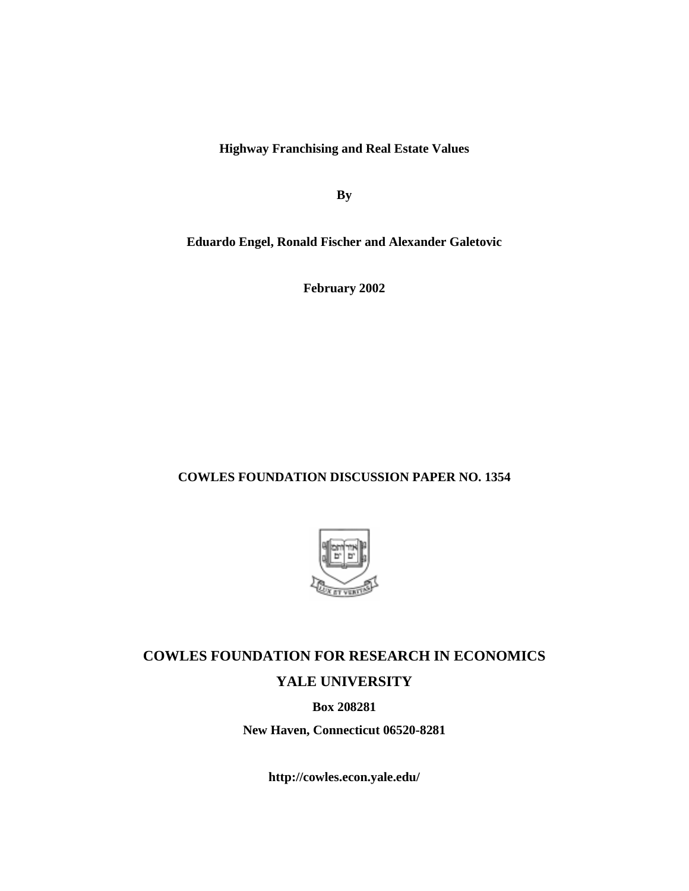**Highway Franchising and Real Estate Values**

**By**

**Eduardo Engel, Ronald Fischer and Alexander Galetovic**

**February 2002**

## **COWLES FOUNDATION DISCUSSION PAPER NO. 1354**



# **COWLES FOUNDATION FOR RESEARCH IN ECONOMICS YALE UNIVERSITY**

**Box 208281**

**New Haven, Connecticut 06520-8281**

**http://cowles.econ.yale.edu/**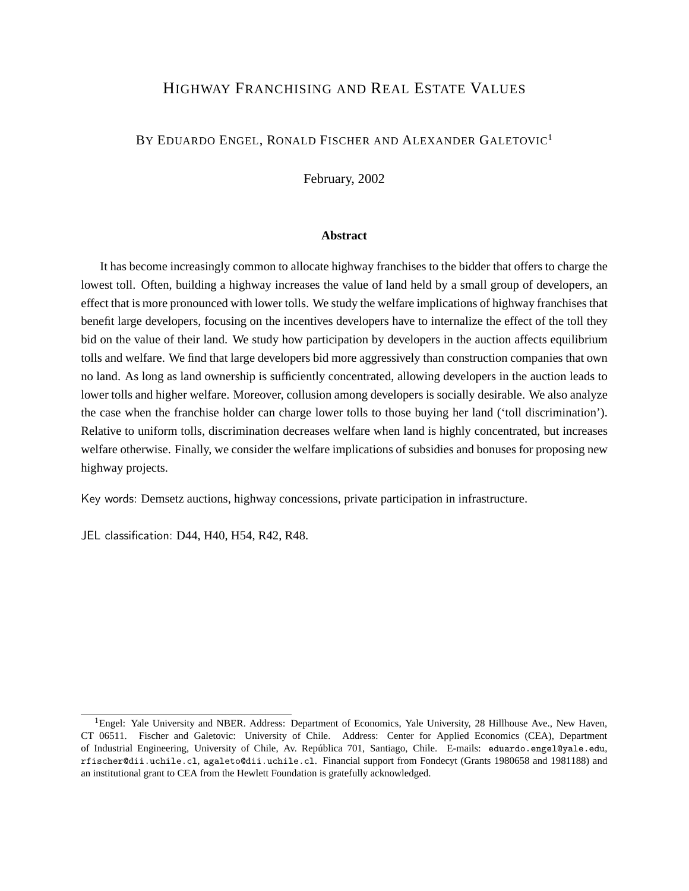# HIGHWAY FRANCHISING AND REAL ESTATE VALUES

### BY EDUARDO ENGEL, RONALD FISCHER AND ALEXANDER GALETOVIC<sup>1</sup>

February, 2002

### **Abstract**

It has become increasingly common to allocate highway franchises to the bidder that offers to charge the lowest toll. Often, building a highway increases the value of land held by a small group of developers, an effect that is more pronounced with lower tolls. We study the welfare implications of highway franchises that benefit large developers, focusing on the incentives developers have to internalize the effect of the toll they bid on the value of their land. We study how participation by developers in the auction affects equilibrium tolls and welfare. We find that large developers bid more aggressively than construction companies that own no land. As long as land ownership is sufficiently concentrated, allowing developers in the auction leads to lower tolls and higher welfare. Moreover, collusion among developers is socially desirable. We also analyze the case when the franchise holder can charge lower tolls to those buying her land ('toll discrimination'). Relative to uniform tolls, discrimination decreases welfare when land is highly concentrated, but increases welfare otherwise. Finally, we consider the welfare implications of subsidies and bonuses for proposing new highway projects.

Key words: Demsetz auctions, highway concessions, private participation in infrastructure.

JEL classification: D44, H40, H54, R42, R48.

<sup>&</sup>lt;sup>1</sup>Engel: Yale University and NBER. Address: Department of Economics, Yale University, 28 Hillhouse Ave., New Haven, CT 06511. Fischer and Galetovic: University of Chile. Address: Center for Applied Economics (CEA), Department of Industrial Engineering, University of Chile, Av. República 701, Santiago, Chile. E-mails: eduardo.engel@yale.edu, rfischer@dii.uchile.cl, agaleto@dii.uchile.cl. Financial support from Fondecyt (Grants 1980658 and 1981188) and an institutional grant to CEA from the Hewlett Foundation is gratefully acknowledged.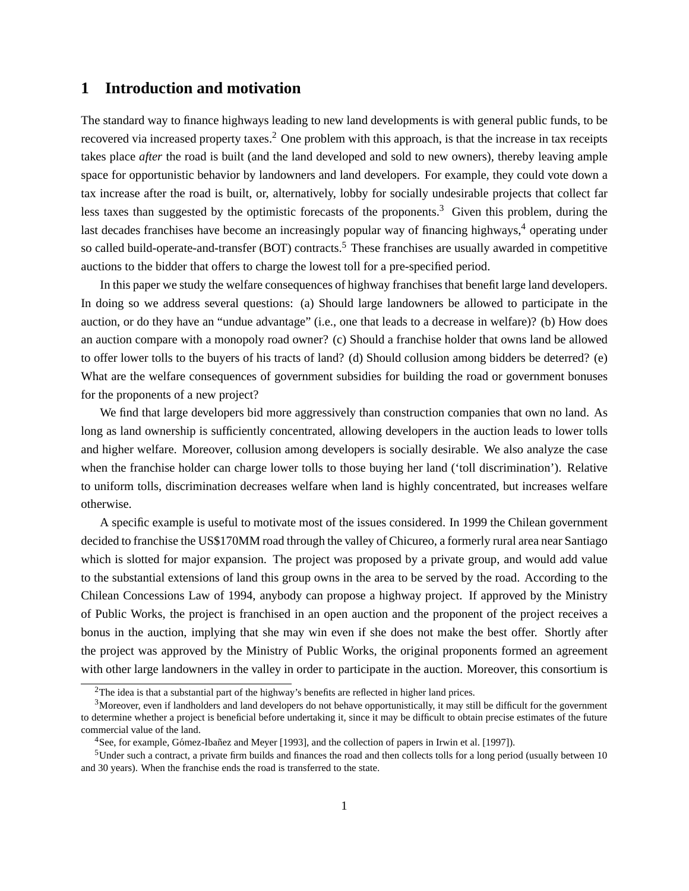## **1 Introduction and motivation**

The standard way to finance highways leading to new land developments is with general public funds, to be recovered via increased property taxes.<sup>2</sup> One problem with this approach, is that the increase in tax receipts takes place *after* the road is built (and the land developed and sold to new owners), thereby leaving ample space for opportunistic behavior by landowners and land developers. For example, they could vote down a tax increase after the road is built, or, alternatively, lobby for socially undesirable projects that collect far less taxes than suggested by the optimistic forecasts of the proponents.<sup>3</sup> Given this problem, during the last decades franchises have become an increasingly popular way of financing highways,<sup>4</sup> operating under so called build-operate-and-transfer (BOT) contracts.<sup>5</sup> These franchises are usually awarded in competitive auctions to the bidder that offers to charge the lowest toll for a pre-specified period.

In this paper we study the welfare consequences of highway franchises that benefit large land developers. In doing so we address several questions: (a) Should large landowners be allowed to participate in the auction, or do they have an "undue advantage" (i.e., one that leads to a decrease in welfare)? (b) How does an auction compare with a monopoly road owner? (c) Should a franchise holder that owns land be allowed to offer lower tolls to the buyers of his tracts of land? (d) Should collusion among bidders be deterred? (e) What are the welfare consequences of government subsidies for building the road or government bonuses for the proponents of a new project?

We find that large developers bid more aggressively than construction companies that own no land. As long as land ownership is sufficiently concentrated, allowing developers in the auction leads to lower tolls and higher welfare. Moreover, collusion among developers is socially desirable. We also analyze the case when the franchise holder can charge lower tolls to those buying her land ('toll discrimination'). Relative to uniform tolls, discrimination decreases welfare when land is highly concentrated, but increases welfare otherwise.

A specific example is useful to motivate most of the issues considered. In 1999 the Chilean government decided to franchise the US\$170MM road through the valley of Chicureo, a formerly rural area near Santiago which is slotted for major expansion. The project was proposed by a private group, and would add value to the substantial extensions of land this group owns in the area to be served by the road. According to the Chilean Concessions Law of 1994, anybody can propose a highway project. If approved by the Ministry of Public Works, the project is franchised in an open auction and the proponent of the project receives a bonus in the auction, implying that she may win even if she does not make the best offer. Shortly after the project was approved by the Ministry of Public Works, the original proponents formed an agreement with other large landowners in the valley in order to participate in the auction. Moreover, this consortium is

 $2$ The idea is that a substantial part of the highway's benefits are reflected in higher land prices.

<sup>&</sup>lt;sup>3</sup>Moreover, even if landholders and land developers do not behave opportunistically, it may still be difficult for the government to determine whether a project is beneficial before undertaking it, since it may be difficult to obtain precise estimates of the future commercial value of the land.

 $4$ See, for example, Gómez-Ibañez and Meyer [1993], and the collection of papers in Irwin et al. [1997]).

<sup>5</sup>Under such a contract, a private firm builds and finances the road and then collects tolls for a long period (usually between 10 and 30 years). When the franchise ends the road is transferred to the state.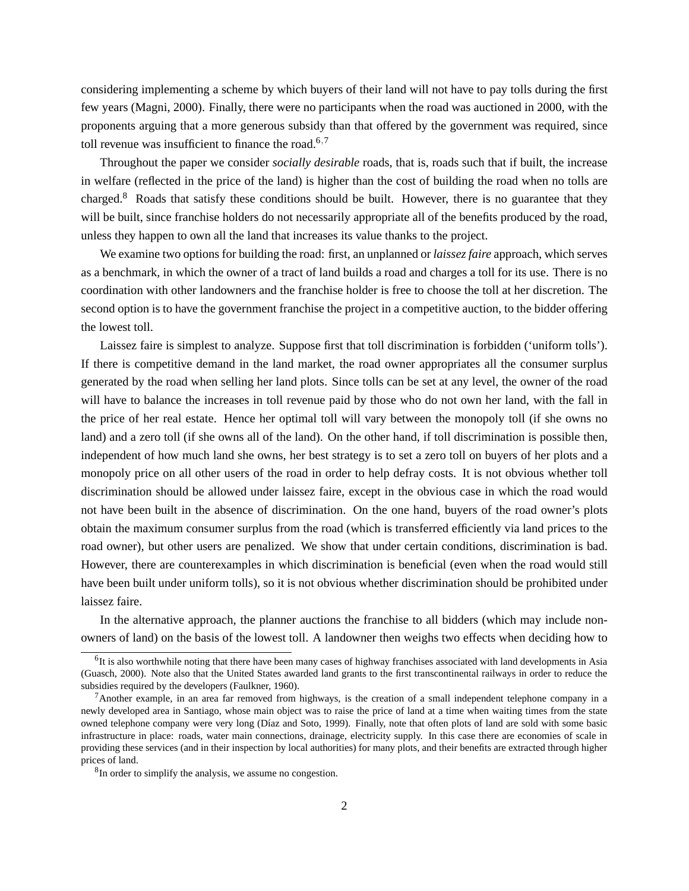considering implementing a scheme by which buyers of their land will not have to pay tolls during the first few years (Magni, 2000). Finally, there were no participants when the road was auctioned in 2000, with the proponents arguing that a more generous subsidy than that offered by the government was required, since toll revenue was insufficient to finance the road.<sup>6,7</sup>

Throughout the paper we consider *socially desirable* roads, that is, roads such that if built, the increase in welfare (reflected in the price of the land) is higher than the cost of building the road when no tolls are charged.<sup>8</sup> Roads that satisfy these conditions should be built. However, there is no guarantee that they will be built, since franchise holders do not necessarily appropriate all of the benefits produced by the road, unless they happen to own all the land that increases its value thanks to the project.

We examine two options for building the road: first, an unplanned or *laissez faire* approach, which serves as a benchmark, in which the owner of a tract of land builds a road and charges a toll for its use. There is no coordination with other landowners and the franchise holder is free to choose the toll at her discretion. The second option is to have the government franchise the project in a competitive auction, to the bidder offering the lowest toll.

Laissez faire is simplest to analyze. Suppose first that toll discrimination is forbidden ('uniform tolls'). If there is competitive demand in the land market, the road owner appropriates all the consumer surplus generated by the road when selling her land plots. Since tolls can be set at any level, the owner of the road will have to balance the increases in toll revenue paid by those who do not own her land, with the fall in the price of her real estate. Hence her optimal toll will vary between the monopoly toll (if she owns no land) and a zero toll (if she owns all of the land). On the other hand, if toll discrimination is possible then, independent of how much land she owns, her best strategy is to set a zero toll on buyers of her plots and a monopoly price on all other users of the road in order to help defray costs. It is not obvious whether toll discrimination should be allowed under laissez faire, except in the obvious case in which the road would not have been built in the absence of discrimination. On the one hand, buyers of the road owner's plots obtain the maximum consumer surplus from the road (which is transferred efficiently via land prices to the road owner), but other users are penalized. We show that under certain conditions, discrimination is bad. However, there are counterexamples in which discrimination is beneficial (even when the road would still have been built under uniform tolls), so it is not obvious whether discrimination should be prohibited under laissez faire.

In the alternative approach, the planner auctions the franchise to all bidders (which may include nonowners of land) on the basis of the lowest toll. A landowner then weighs two effects when deciding how to

<sup>&</sup>lt;sup>6</sup>It is also worthwhile noting that there have been many cases of highway franchises associated with land developments in Asia (Guasch, 2000). Note also that the United States awarded land grants to the first transcontinental railways in order to reduce the subsidies required by the developers (Faulkner, 1960).

<sup>7</sup>Another example, in an area far removed from highways, is the creation of a small independent telephone company in a newly developed area in Santiago, whose main object was to raise the price of land at a time when waiting times from the state owned telephone company were very long (Díaz and Soto, 1999). Finally, note that often plots of land are sold with some basic infrastructure in place: roads, water main connections, drainage, electricity supply. In this case there are economies of scale in providing these services (and in their inspection by local authorities) for many plots, and their benefits are extracted through higher prices of land.

<sup>&</sup>lt;sup>8</sup>In order to simplify the analysis, we assume no congestion.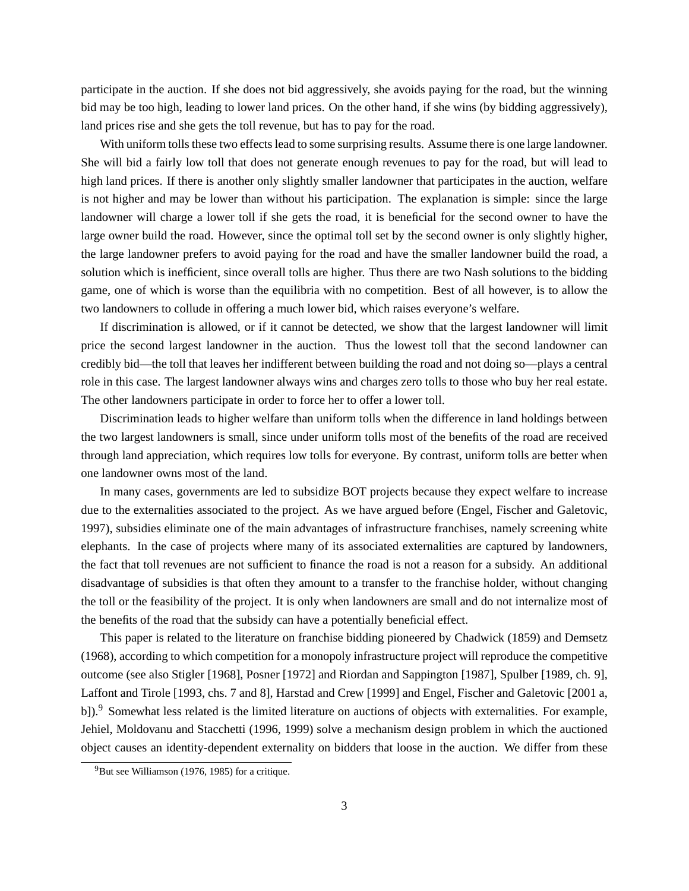participate in the auction. If she does not bid aggressively, she avoids paying for the road, but the winning bid may be too high, leading to lower land prices. On the other hand, if she wins (by bidding aggressively), land prices rise and she gets the toll revenue, but has to pay for the road.

With uniform tolls these two effects lead to some surprising results. Assume there is one large landowner. She will bid a fairly low toll that does not generate enough revenues to pay for the road, but will lead to high land prices. If there is another only slightly smaller landowner that participates in the auction, welfare is not higher and may be lower than without his participation. The explanation is simple: since the large landowner will charge a lower toll if she gets the road, it is beneficial for the second owner to have the large owner build the road. However, since the optimal toll set by the second owner is only slightly higher, the large landowner prefers to avoid paying for the road and have the smaller landowner build the road, a solution which is inefficient, since overall tolls are higher. Thus there are two Nash solutions to the bidding game, one of which is worse than the equilibria with no competition. Best of all however, is to allow the two landowners to collude in offering a much lower bid, which raises everyone's welfare.

If discrimination is allowed, or if it cannot be detected, we show that the largest landowner will limit price the second largest landowner in the auction. Thus the lowest toll that the second landowner can credibly bid—the toll that leaves her indifferent between building the road and not doing so—plays a central role in this case. The largest landowner always wins and charges zero tolls to those who buy her real estate. The other landowners participate in order to force her to offer a lower toll.

Discrimination leads to higher welfare than uniform tolls when the difference in land holdings between the two largest landowners is small, since under uniform tolls most of the benefits of the road are received through land appreciation, which requires low tolls for everyone. By contrast, uniform tolls are better when one landowner owns most of the land.

In many cases, governments are led to subsidize BOT projects because they expect welfare to increase due to the externalities associated to the project. As we have argued before (Engel, Fischer and Galetovic, 1997), subsidies eliminate one of the main advantages of infrastructure franchises, namely screening white elephants. In the case of projects where many of its associated externalities are captured by landowners, the fact that toll revenues are not sufficient to finance the road is not a reason for a subsidy. An additional disadvantage of subsidies is that often they amount to a transfer to the franchise holder, without changing the toll or the feasibility of the project. It is only when landowners are small and do not internalize most of the benefits of the road that the subsidy can have a potentially beneficial effect.

This paper is related to the literature on franchise bidding pioneered by Chadwick (1859) and Demsetz (1968), according to which competition for a monopoly infrastructure project will reproduce the competitive outcome (see also Stigler [1968], Posner [1972] and Riordan and Sappington [1987], Spulber [1989, ch. 9], Laffont and Tirole [1993, chs. 7 and 8], Harstad and Crew [1999] and Engel, Fischer and Galetovic [2001 a, b]).<sup>9</sup> Somewhat less related is the limited literature on auctions of objects with externalities. For example, Jehiel, Moldovanu and Stacchetti (1996, 1999) solve a mechanism design problem in which the auctioned object causes an identity-dependent externality on bidders that loose in the auction. We differ from these

<sup>9</sup>But see Williamson (1976, 1985) for a critique.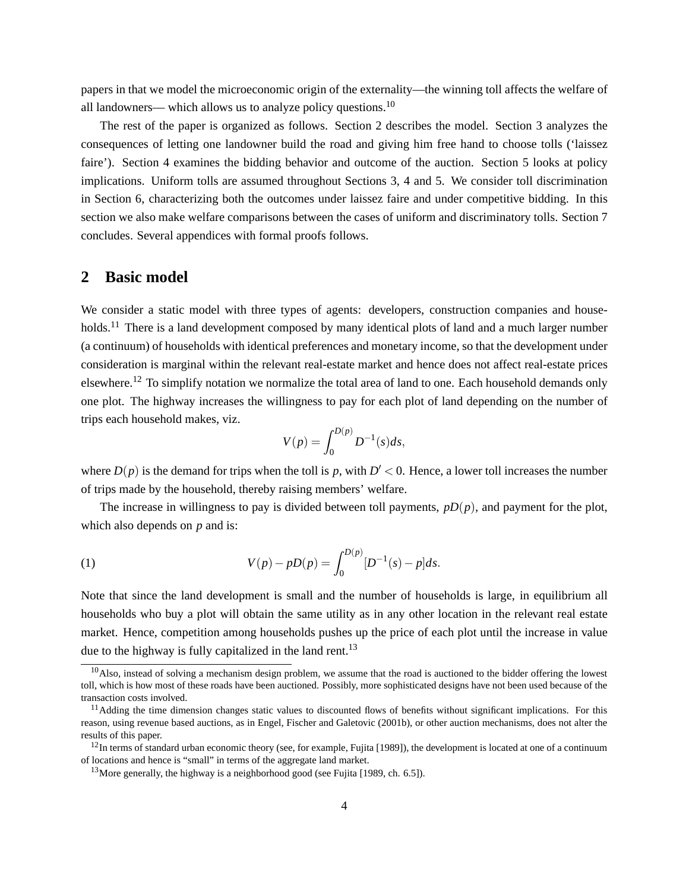papers in that we model the microeconomic origin of the externality—the winning toll affects the welfare of all landowners— which allows us to analyze policy questions.<sup>10</sup>

The rest of the paper is organized as follows. Section 2 describes the model. Section 3 analyzes the consequences of letting one landowner build the road and giving him free hand to choose tolls ('laissez faire'). Section 4 examines the bidding behavior and outcome of the auction. Section 5 looks at policy implications. Uniform tolls are assumed throughout Sections 3, 4 and 5. We consider toll discrimination in Section 6, characterizing both the outcomes under laissez faire and under competitive bidding. In this section we also make welfare comparisons between the cases of uniform and discriminatory tolls. Section 7 concludes. Several appendices with formal proofs follows.

### **2 Basic model**

We consider a static model with three types of agents: developers, construction companies and households.<sup>11</sup> There is a land development composed by many identical plots of land and a much larger number (a continuum) of households with identical preferences and monetary income, so that the development under consideration is marginal within the relevant real-estate market and hence does not affect real-estate prices elsewhere.<sup>12</sup> To simplify notation we normalize the total area of land to one. Each household demands only one plot. The highway increases the willingness to pay for each plot of land depending on the number of trips each household makes, viz.

$$
V(p) = \int_0^{D(p)} D^{-1}(s) ds,
$$

where  $D(p)$  is the demand for trips when the toll is p, with  $D' < 0$ . Hence, a lower toll increases the number of trips made by the household, thereby raising members' welfare.

The increase in willingness to pay is divided between toll payments, *pD*(*p*), and payment for the plot, which also depends on *p* and is:

(1) 
$$
V(p) - pD(p) = \int_0^{D(p)} [D^{-1}(s) - p] ds.
$$

Note that since the land development is small and the number of households is large, in equilibrium all households who buy a plot will obtain the same utility as in any other location in the relevant real estate market. Hence, competition among households pushes up the price of each plot until the increase in value due to the highway is fully capitalized in the land rent.<sup>13</sup>

 $10$ Also, instead of solving a mechanism design problem, we assume that the road is auctioned to the bidder offering the lowest toll, which is how most of these roads have been auctioned. Possibly, more sophisticated designs have not been used because of the transaction costs involved.

 $<sup>11</sup>$ Adding the time dimension changes static values to discounted flows of benefits without significant implications. For this</sup> reason, using revenue based auctions, as in Engel, Fischer and Galetovic (2001b), or other auction mechanisms, does not alter the results of this paper.

 $12$ In terms of standard urban economic theory (see, for example, Fujita [1989]), the development is located at one of a continuum of locations and hence is "small" in terms of the aggregate land market.

<sup>&</sup>lt;sup>13</sup>More generally, the highway is a neighborhood good (see Fujita [1989, ch. 6.5]).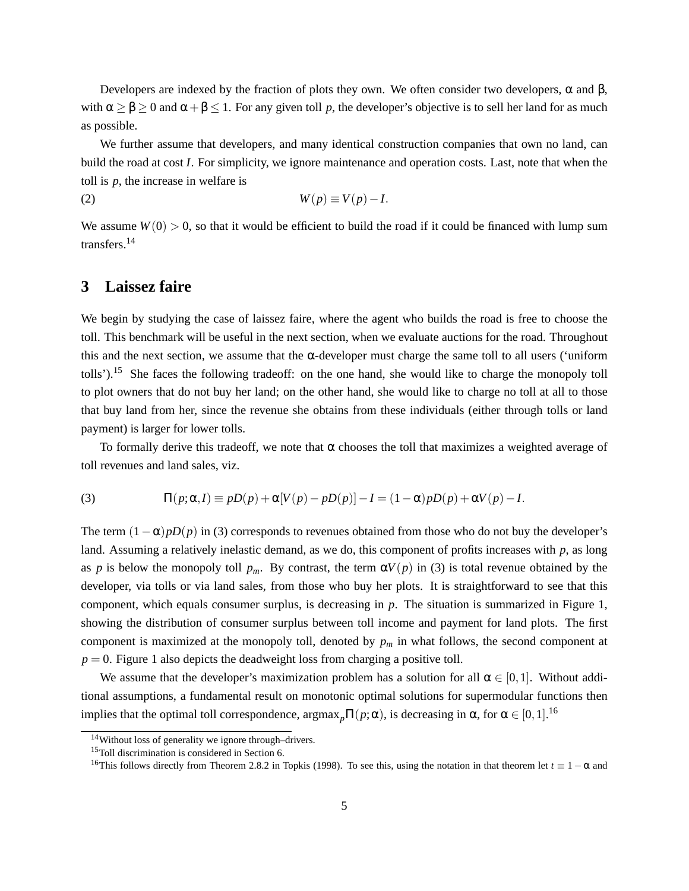Developers are indexed by the fraction of plots they own. We often consider two developers,  $\alpha$  and  $\beta$ , with  $\alpha \geq \beta \geq 0$  and  $\alpha + \beta \leq 1$ . For any given toll p, the developer's objective is to sell her land for as much as possible.

We further assume that developers, and many identical construction companies that own no land, can build the road at cost *I*. For simplicity, we ignore maintenance and operation costs. Last, note that when the toll is *p*, the increase in welfare is

$$
(2) \t\t W(p) \equiv V(p) - I.
$$

We assume  $W(0) > 0$ , so that it would be efficient to build the road if it could be financed with lump sum transfers.<sup>14</sup>

# **3 Laissez faire**

We begin by studying the case of laissez faire, where the agent who builds the road is free to choose the toll. This benchmark will be useful in the next section, when we evaluate auctions for the road. Throughout this and the next section, we assume that the  $\alpha$ -developer must charge the same toll to all users ('uniform tolls').<sup>15</sup> She faces the following tradeoff: on the one hand, she would like to charge the monopoly toll to plot owners that do not buy her land; on the other hand, she would like to charge no toll at all to those that buy land from her, since the revenue she obtains from these individuals (either through tolls or land payment) is larger for lower tolls.

To formally derive this tradeoff, we note that  $\alpha$  chooses the toll that maximizes a weighted average of toll revenues and land sales, viz.

(3) 
$$
\Pi(p;\alpha,I) \equiv pD(p) + \alpha[V(p) - pD(p)] - I = (1-\alpha)pD(p) + \alpha V(p) - I.
$$

The term  $(1 - \alpha)pD(p)$  in (3) corresponds to revenues obtained from those who do not buy the developer's land. Assuming a relatively inelastic demand, as we do, this component of profits increases with *p*, as long as *p* is below the monopoly toll  $p_m$ . By contrast, the term  $\alpha V(p)$  in (3) is total revenue obtained by the developer, via tolls or via land sales, from those who buy her plots. It is straightforward to see that this component, which equals consumer surplus, is decreasing in *p*. The situation is summarized in Figure 1, showing the distribution of consumer surplus between toll income and payment for land plots. The first component is maximized at the monopoly toll, denoted by  $p_m$  in what follows, the second component at  $p = 0$ . Figure 1 also depicts the deadweight loss from charging a positive toll.

We assume that the developer's maximization problem has a solution for all  $\alpha \in [0,1]$ . Without additional assumptions, a fundamental result on monotonic optimal solutions for supermodular functions then implies that the optimal toll correspondence,  $\argmax_{p} \Pi(p; \alpha)$ , is decreasing in  $\alpha$ , for  $\alpha \in [0, 1]$ .<sup>16</sup>

<sup>14</sup>Without loss of generality we ignore through–drivers.

<sup>&</sup>lt;sup>15</sup>Toll discrimination is considered in Section 6.

<sup>16</sup>This follows directly from Theorem 2.8.2 in Topkis (1998). To see this, using the notation in that theorem let *t* ≡ 1 − α and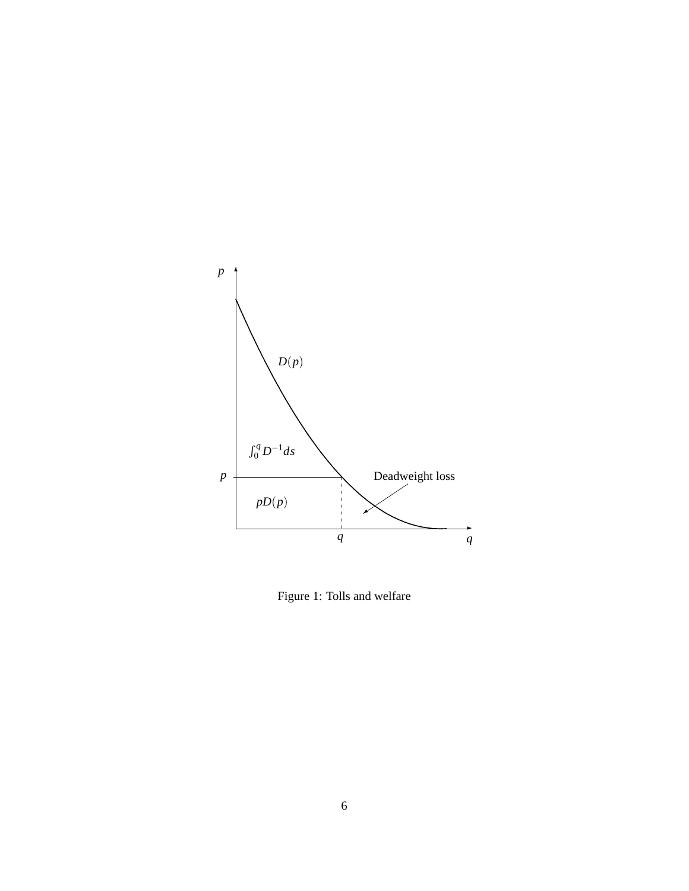

Figure 1: Tolls and welfare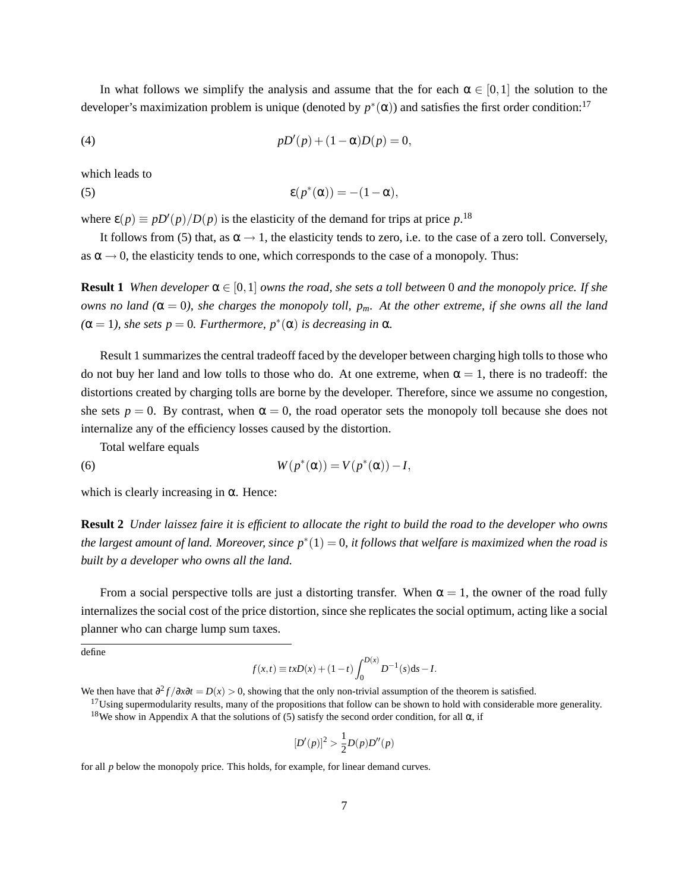In what follows we simplify the analysis and assume that the for each  $\alpha \in [0,1]$  the solution to the developer's maximization problem is unique (denoted by  $p^*(\alpha)$ ) and satisfies the first order condition:<sup>17</sup>

(4) 
$$
pD'(p) + (1 - \alpha)D(p) = 0,
$$

which leads to

(5) 
$$
\epsilon(p^*(\alpha)) = -(1-\alpha),
$$

where  $\varepsilon(p) \equiv pD'(p)/D(p)$  is the elasticity of the demand for trips at price p.<sup>18</sup>

It follows from (5) that, as  $\alpha \rightarrow 1$ , the elasticity tends to zero, i.e. to the case of a zero toll. Conversely, as  $\alpha \rightarrow 0$ , the elasticity tends to one, which corresponds to the case of a monopoly. Thus:

**Result 1** *When developer*  $\alpha \in [0,1]$  *owns the road, she sets a toll between* 0 *and the monopoly price. If she owns no land* ( $α = 0$ ), she charges the monopoly toll,  $p_m$ . At the other extreme, if she owns all the land  $(\alpha = 1)$ *, she sets*  $p = 0$ *. Furthermore,*  $p^*(\alpha)$  *is decreasing in*  $\alpha$ *.* 

Result 1 summarizes the central tradeoff faced by the developer between charging high tolls to those who do not buy her land and low tolls to those who do. At one extreme, when  $\alpha = 1$ , there is no tradeoff: the distortions created by charging tolls are borne by the developer. Therefore, since we assume no congestion, she sets  $p = 0$ . By contrast, when  $\alpha = 0$ , the road operator sets the monopoly toll because she does not internalize any of the efficiency losses caused by the distortion.

Total welfare equals

(6) 
$$
W(p^*(\alpha)) = V(p^*(\alpha)) - I,
$$

which is clearly increasing in  $\alpha$ . Hence:

**Result 2** *Under laissez faire it is efficient to allocate the right to build the road to the developer who owns the largest amount of land. Moreover, since p* ∗ (1) = 0*, it follows that welfare is maximized when the road is built by a developer who owns all the land.*

From a social perspective tolls are just a distorting transfer. When  $\alpha = 1$ , the owner of the road fully internalizes the social cost of the price distortion, since she replicates the social optimum, acting like a social planner who can charge lump sum taxes.

define

$$
f(x,t) \equiv txD(x) + (1-t)\int_0^{D(x)} D^{-1}(s)ds - I.
$$

We then have that  $\frac{\partial^2 f}{\partial x \partial t} = D(x) > 0$ , showing that the only non-trivial assumption of the theorem is satisfied.

<sup>17</sup>Using supermodularity results, many of the propositions that follow can be shown to hold with considerable more generality. <sup>18</sup>We show in Appendix A that the solutions of (5) satisfy the second order condition, for all α, if

$$
[D'(p)]^2 > \frac{1}{2}D(p)D''(p)
$$

for all *p* below the monopoly price. This holds, for example, for linear demand curves.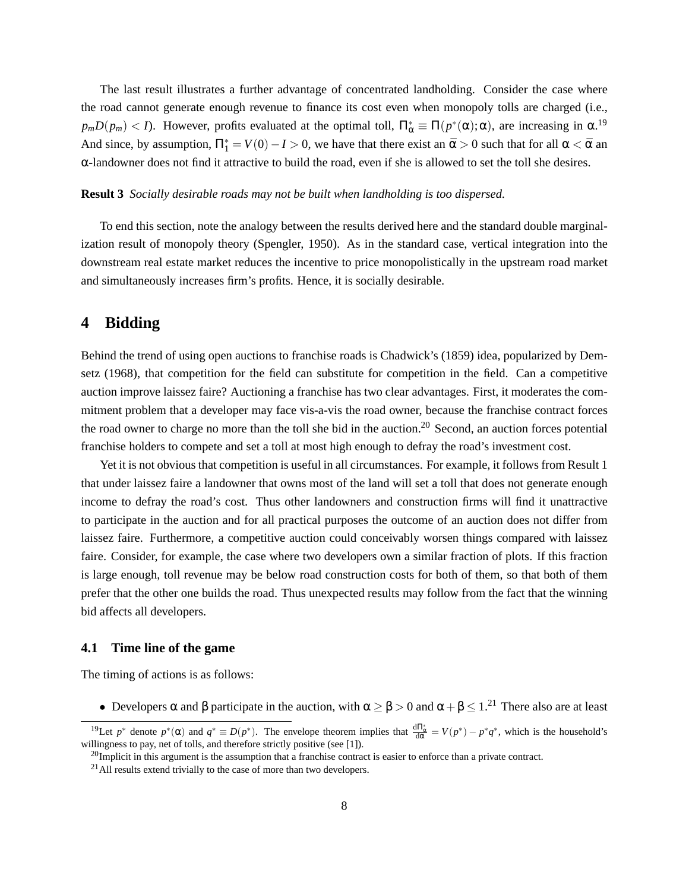The last result illustrates a further advantage of concentrated landholding. Consider the case where the road cannot generate enough revenue to finance its cost even when monopoly tolls are charged (i.e.,  $p_m D(p_m) < I$ ). However, profits evaluated at the optimal toll,  $\Pi^*_{\alpha} \equiv \Pi(p^*(\alpha); \alpha)$ , are increasing in  $\alpha$ .<sup>19</sup> And since, by assumption,  $\Pi_1^* = V(0) - I > 0$ , we have that there exist an  $\bar{\alpha} > 0$  such that for all  $\alpha < \bar{\alpha}$  an  $\alpha$ -landowner does not find it attractive to build the road, even if she is allowed to set the toll she desires.

#### **Result 3** *Socially desirable roads may not be built when landholding is too dispersed.*

To end this section, note the analogy between the results derived here and the standard double marginalization result of monopoly theory (Spengler, 1950). As in the standard case, vertical integration into the downstream real estate market reduces the incentive to price monopolistically in the upstream road market and simultaneously increases firm's profits. Hence, it is socially desirable.

# **4 Bidding**

Behind the trend of using open auctions to franchise roads is Chadwick's (1859) idea, popularized by Demsetz (1968), that competition for the field can substitute for competition in the field. Can a competitive auction improve laissez faire? Auctioning a franchise has two clear advantages. First, it moderates the commitment problem that a developer may face vis-a-vis the road owner, because the franchise contract forces the road owner to charge no more than the toll she bid in the auction.<sup>20</sup> Second, an auction forces potential franchise holders to compete and set a toll at most high enough to defray the road's investment cost.

Yet it is not obvious that competition is useful in all circumstances. For example, it follows from Result 1 that under laissez faire a landowner that owns most of the land will set a toll that does not generate enough income to defray the road's cost. Thus other landowners and construction firms will find it unattractive to participate in the auction and for all practical purposes the outcome of an auction does not differ from laissez faire. Furthermore, a competitive auction could conceivably worsen things compared with laissez faire. Consider, for example, the case where two developers own a similar fraction of plots. If this fraction is large enough, toll revenue may be below road construction costs for both of them, so that both of them prefer that the other one builds the road. Thus unexpected results may follow from the fact that the winning bid affects all developers.

### **4.1 Time line of the game**

The timing of actions is as follows:

• Developers  $\alpha$  and  $\beta$  participate in the auction, with  $\alpha \ge \beta > 0$  and  $\alpha + \beta \le 1$ .<sup>21</sup> There also are at least

<sup>&</sup>lt;sup>19</sup>Let  $p^*$  denote  $p^*(\alpha)$  and  $q^* \equiv D(p^*)$ . The envelope theorem implies that  $\frac{d\Pi^*_{\alpha}}{d\alpha} = V(p^*) - p^*q^*$ , which is the household's willingness to pay, net of tolls, and therefore strictly positive (see [1]).

 $^{20}$ Implicit in this argument is the assumption that a franchise contract is easier to enforce than a private contract.

<sup>&</sup>lt;sup>21</sup> All results extend trivially to the case of more than two developers.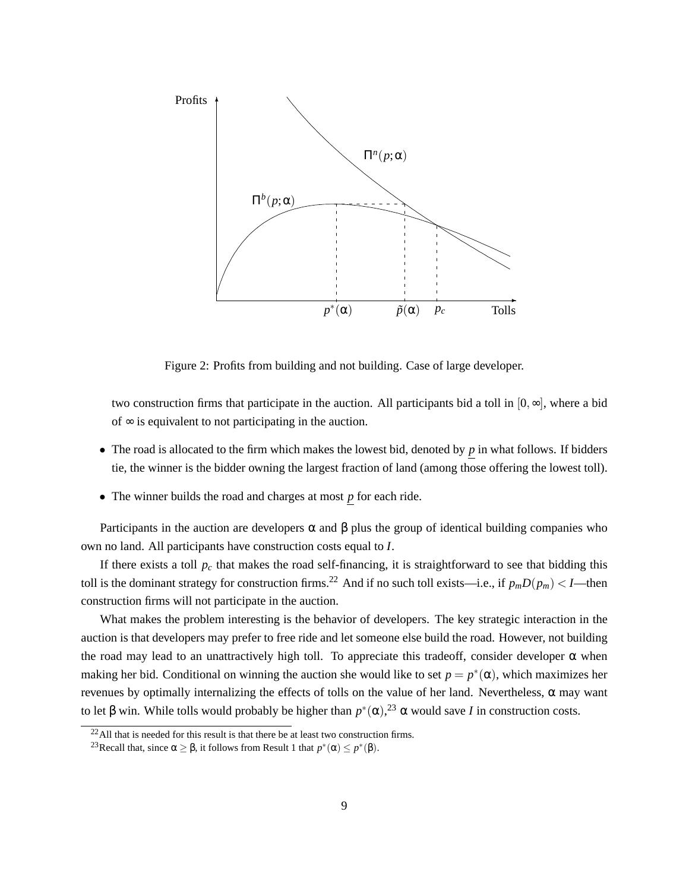

Figure 2: Profits from building and not building. Case of large developer.

two construction firms that participate in the auction. All participants bid a toll in  $[0, \infty]$ , where a bid of  $\infty$  is equivalent to not participating in the auction.

- The road is allocated to the firm which makes the lowest bid, denoted by *p* in what follows. If bidders tie, the winner is the bidder owning the largest fraction of land (among those offering the lowest toll).
- The winner builds the road and charges at most *p* for each ride.

Participants in the auction are developers  $\alpha$  and  $\beta$  plus the group of identical building companies who own no land. All participants have construction costs equal to *I*.

If there exists a toll  $p_c$  that makes the road self-financing, it is straightforward to see that bidding this toll is the dominant strategy for construction firms.<sup>22</sup> And if no such toll exists—i.e., if  $p_m D(p_m) < I$ —then construction firms will not participate in the auction.

What makes the problem interesting is the behavior of developers. The key strategic interaction in the auction is that developers may prefer to free ride and let someone else build the road. However, not building the road may lead to an unattractively high toll. To appreciate this tradeoff, consider developer  $\alpha$  when making her bid. Conditional on winning the auction she would like to set  $p = p^*(\alpha)$ , which maximizes her revenues by optimally internalizing the effects of tolls on the value of her land. Nevertheless, α may want to let β win. While tolls would probably be higher than  $p^*(\alpha)$ ,<sup>23</sup> α would save *I* in construction costs.

 $22$ All that is needed for this result is that there be at least two construction firms.

<sup>&</sup>lt;sup>23</sup>Recall that, since  $\alpha \geq \beta$ , it follows from Result 1 that  $p^*(\alpha) \leq p^*(\beta)$ .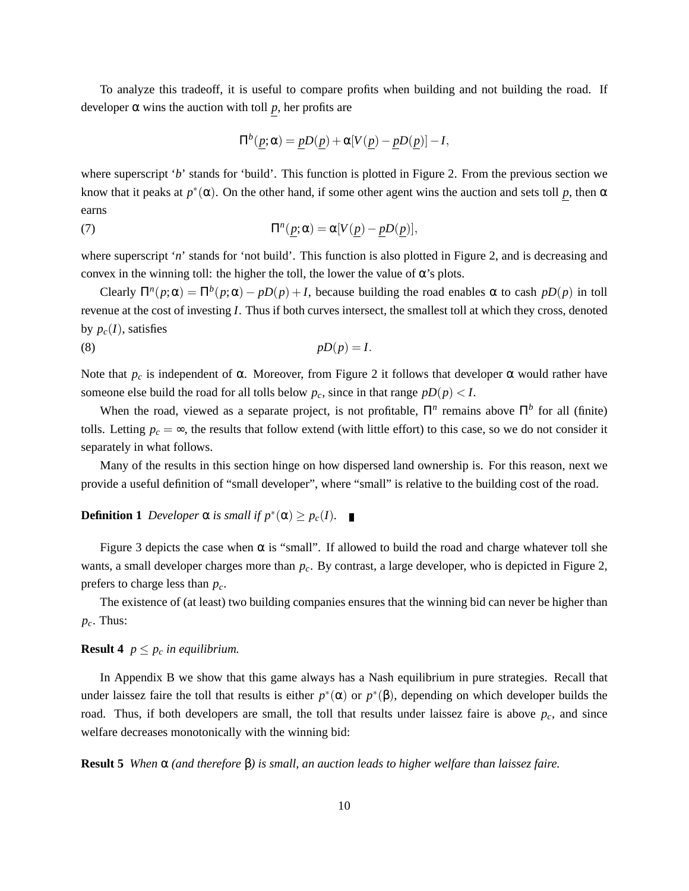To analyze this tradeoff, it is useful to compare profits when building and not building the road. If developer  $\alpha$  wins the auction with toll p, her profits are

$$
\Pi^b(\underline{p};\alpha) = \underline{p}D(\underline{p}) + \alpha[V(\underline{p}) - \underline{p}D(\underline{p})] - I,
$$

where superscript '*b*' stands for 'build'. This function is plotted in Figure 2. From the previous section we know that it peaks at  $p^*(\alpha)$ . On the other hand, if some other agent wins the auction and sets toll p, then  $\alpha$ earns

(7) 
$$
\Pi^n(p;\alpha) = \alpha[V(p) - pD(p)],
$$

where superscript '*n*' stands for 'not build'. This function is also plotted in Figure 2, and is decreasing and convex in the winning toll: the higher the toll, the lower the value of  $\alpha$ 's plots.

Clearly  $\Pi^n(p;\alpha) = \Pi^b(p;\alpha) - pD(p) + I$ , because building the road enables  $\alpha$  to cash  $pD(p)$  in toll revenue at the cost of investing *I*. Thus if both curves intersect, the smallest toll at which they cross, denoted by  $p_c(I)$ , satisfies

(8) *pD*(*p*) = *I*.

Note that  $p_c$  is independent of α. Moreover, from Figure 2 it follows that developer α would rather have someone else build the road for all tolls below  $p_c$ , since in that range  $pD(p) < I$ .

When the road, viewed as a separate project, is not profitable,  $\Pi^n$  remains above  $\Pi^b$  for all (finite) tolls. Letting  $p_c = \infty$ , the results that follow extend (with little effort) to this case, so we do not consider it separately in what follows.

Many of the results in this section hinge on how dispersed land ownership is. For this reason, next we provide a useful definition of "small developer", where "small" is relative to the building cost of the road.

# **Definition 1** Developer  $\alpha$  *is small if*  $p^*(\alpha) \geq p_c(I)$ *.*

Figure 3 depicts the case when  $\alpha$  is "small". If allowed to build the road and charge whatever toll she wants, a small developer charges more than *pc*. By contrast, a large developer, who is depicted in Figure 2, prefers to charge less than *pc*.

The existence of (at least) two building companies ensures that the winning bid can never be higher than  $p_c$ . Thus:

### **Result 4**  $p \leq p_c$  *in equilibrium.*

In Appendix B we show that this game always has a Nash equilibrium in pure strategies. Recall that under laissez faire the toll that results is either  $p^*(\alpha)$  or  $p^*(\beta)$ , depending on which developer builds the road. Thus, if both developers are small, the toll that results under laissez faire is above  $p_c$ , and since welfare decreases monotonically with the winning bid:

**Result 5** *When* α *(and therefore* β*) is small, an auction leads to higher welfare than laissez faire.*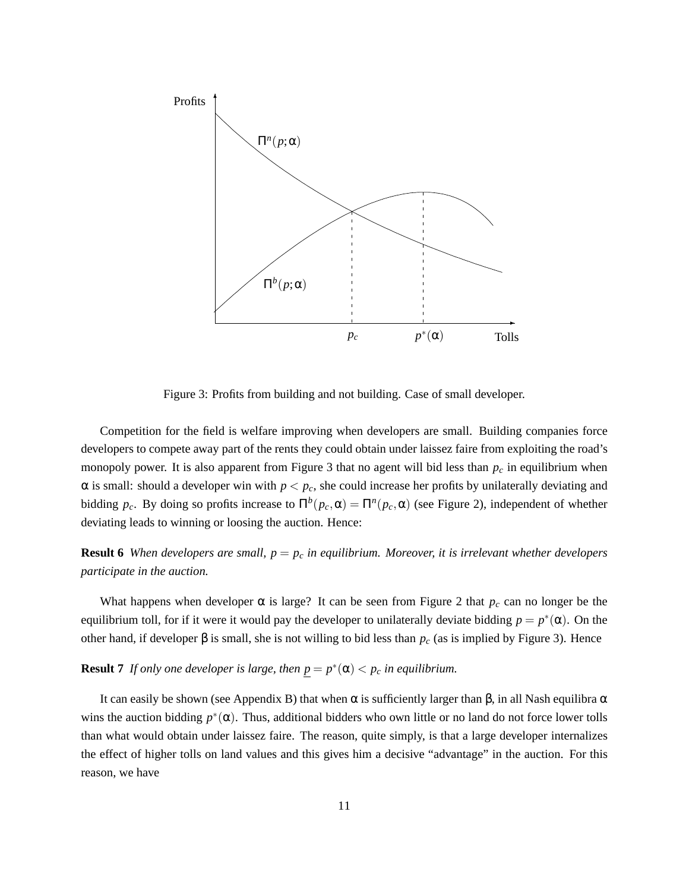

Figure 3: Profits from building and not building. Case of small developer.

Competition for the field is welfare improving when developers are small. Building companies force developers to compete away part of the rents they could obtain under laissez faire from exploiting the road's monopoly power. It is also apparent from Figure 3 that no agent will bid less than *p<sup>c</sup>* in equilibrium when  $\alpha$  is small: should a developer win with  $p < p_c$ , she could increase her profits by unilaterally deviating and bidding  $p_c$ . By doing so profits increase to  $\Pi^b(p_c, \alpha) = \Pi^n(p_c, \alpha)$  (see Figure 2), independent of whether deviating leads to winning or loosing the auction. Hence:

### **Result 6** *When developers are small,*  $p = p_c$  *in equilibrium. Moreover, it is irrelevant whether developers participate in the auction.*

What happens when developer  $\alpha$  is large? It can be seen from Figure 2 that  $p_c$  can no longer be the equilibrium toll, for if it were it would pay the developer to unilaterally deviate bidding  $p = p^*(\alpha)$ . On the other hand, if developer β is small, she is not willing to bid less than  $p_c$  (as is implied by Figure 3). Hence

**Result 7** *If only one developer is large, then*  $p = p^*(\alpha) < p_c$  *in equilibrium.* 

It can easily be shown (see Appendix B) that when  $\alpha$  is sufficiently larger than β, in all Nash equilibra  $\alpha$ wins the auction bidding  $p^*(\alpha)$ . Thus, additional bidders who own little or no land do not force lower tolls than what would obtain under laissez faire. The reason, quite simply, is that a large developer internalizes the effect of higher tolls on land values and this gives him a decisive "advantage" in the auction. For this reason, we have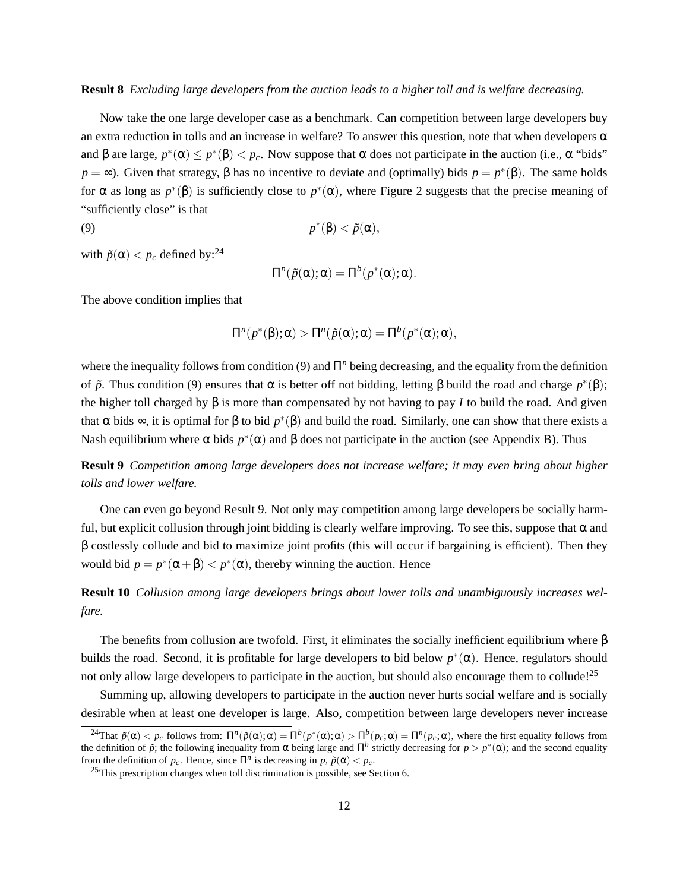### **Result 8** *Excluding large developers from the auction leads to a higher toll and is welfare decreasing.*

Now take the one large developer case as a benchmark. Can competition between large developers buy an extra reduction in tolls and an increase in welfare? To answer this question, note that when developers  $\alpha$ and  $\beta$  are large,  $p^*(\alpha) \leq p^*(\beta) < p_c$ . Now suppose that  $\alpha$  does not participate in the auction (i.e.,  $\alpha$  "bids" *p* = ∞). Given that strategy, β has no incentive to deviate and (optimally) bids *p* = *p*<sup>\*</sup>(β). The same holds for α as long as  $p^*(β)$  is sufficiently close to  $p^*(α)$ , where Figure 2 suggests that the precise meaning of "sufficiently close" is that

$$
(9) \t\t\t p^*(\beta) < \tilde{p}(\alpha),
$$

with  $\tilde{p}(\alpha) < p_c$  defined by:<sup>24</sup>

$$
\Pi^n(\tilde{p}(\alpha);\alpha) = \Pi^b(p^*(\alpha);\alpha).
$$

The above condition implies that

$$
\Pi^n(p^*(\beta);\alpha) > \Pi^n(\tilde{p}(\alpha);\alpha) = \Pi^b(p^*(\alpha);\alpha),
$$

where the inequality follows from condition (9) and Π<sup>*n*</sup> being decreasing, and the equality from the definition of  $\tilde{p}$ . Thus condition (9) ensures that  $\alpha$  is better off not bidding, letting  $\beta$  build the road and charge  $p^*(\beta)$ ; the higher toll charged by  $\beta$  is more than compensated by not having to pay *I* to build the road. And given that  $\alpha$  bids  $\infty$ , it is optimal for  $\beta$  to bid  $p^*(\beta)$  and build the road. Similarly, one can show that there exists a Nash equilibrium where  $\alpha$  bids  $p^*(\alpha)$  and  $\beta$  does not participate in the auction (see Appendix B). Thus

**Result 9** *Competition among large developers does not increase welfare; it may even bring about higher tolls and lower welfare.*

One can even go beyond Result 9. Not only may competition among large developers be socially harmful, but explicit collusion through joint bidding is clearly welfare improving. To see this, suppose that  $\alpha$  and β costlessly collude and bid to maximize joint profits (this will occur if bargaining is efficient). Then they would bid  $p = p^*(\alpha + \beta) < p^*(\alpha)$ , thereby winning the auction. Hence

**Result 10** *Collusion among large developers brings about lower tolls and unambiguously increases welfare.*

The benefits from collusion are twofold. First, it eliminates the socially inefficient equilibrium where  $\beta$ builds the road. Second, it is profitable for large developers to bid below  $p^*(\alpha)$ . Hence, regulators should not only allow large developers to participate in the auction, but should also encourage them to collude!<sup>25</sup>

Summing up, allowing developers to participate in the auction never hurts social welfare and is socially desirable when at least one developer is large. Also, competition between large developers never increase

<sup>&</sup>lt;sup>24</sup>That  $\tilde{p}(\alpha) < p_c$  follows from: Π<sup>*n*</sup>( $\tilde{p}(\alpha)$ ; α) = Π<sup>*b*</sup>( $p^*(\alpha)$ ; α) = Π<sup>*n*</sup>( $p_c$ ; α) = Π<sup>*n*</sup>( $p_c$ ; α), where the first equality follows from the definition of  $\tilde{p}$ ; the following inequality from  $\alpha$  being large and  $\Pi^b$  strictly decreasing for  $p > p^*(\alpha)$ ; and the second equality from the definition of  $p_c$ . Hence, since  $\Pi^n$  is decreasing in  $p$ ,  $\tilde{p}(\alpha) < p_c$ .

 $25$ This prescription changes when toll discrimination is possible, see Section 6.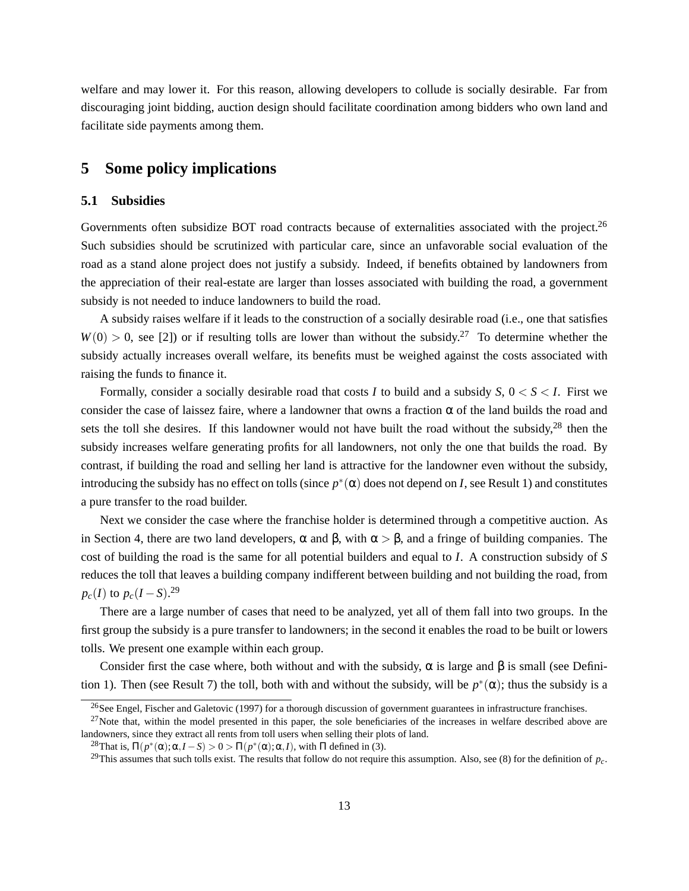welfare and may lower it. For this reason, allowing developers to collude is socially desirable. Far from discouraging joint bidding, auction design should facilitate coordination among bidders who own land and facilitate side payments among them.

### **5 Some policy implications**

### **5.1 Subsidies**

Governments often subsidize BOT road contracts because of externalities associated with the project.<sup>26</sup> Such subsidies should be scrutinized with particular care, since an unfavorable social evaluation of the road as a stand alone project does not justify a subsidy. Indeed, if benefits obtained by landowners from the appreciation of their real-estate are larger than losses associated with building the road, a government subsidy is not needed to induce landowners to build the road.

A subsidy raises welfare if it leads to the construction of a socially desirable road (i.e., one that satisfies  $W(0) > 0$ , see [2]) or if resulting tolls are lower than without the subsidy.<sup>27</sup> To determine whether the subsidy actually increases overall welfare, its benefits must be weighed against the costs associated with raising the funds to finance it.

Formally, consider a socially desirable road that costs *I* to build and a subsidy *S*, 0 < *S* < *I*. First we consider the case of laissez faire, where a landowner that owns a fraction  $\alpha$  of the land builds the road and sets the toll she desires. If this landowner would not have built the road without the subsidy,  $28$  then the subsidy increases welfare generating profits for all landowners, not only the one that builds the road. By contrast, if building the road and selling her land is attractive for the landowner even without the subsidy, introducing the subsidy has no effect on tolls (since  $p^*(\alpha)$  does not depend on *I*, see Result 1) and constitutes a pure transfer to the road builder.

Next we consider the case where the franchise holder is determined through a competitive auction. As in Section 4, there are two land developers, α and β, with  $\alpha > \beta$ , and a fringe of building companies. The cost of building the road is the same for all potential builders and equal to *I*. A construction subsidy of *S* reduces the toll that leaves a building company indifferent between building and not building the road, from  $p_c(I)$  to  $p_c(I-S)$ .<sup>29</sup>

There are a large number of cases that need to be analyzed, yet all of them fall into two groups. In the first group the subsidy is a pure transfer to landowners; in the second it enables the road to be built or lowers tolls. We present one example within each group.

Consider first the case where, both without and with the subsidy,  $\alpha$  is large and  $\beta$  is small (see Definition 1). Then (see Result 7) the toll, both with and without the subsidy, will be  $p^*(\alpha)$ ; thus the subsidy is a

 $^{26}$ See Engel, Fischer and Galetovic (1997) for a thorough discussion of government guarantees in infrastructure franchises.

 $^{27}$ Note that, within the model presented in this paper, the sole beneficiaries of the increases in welfare described above are landowners, since they extract all rents from toll users when selling their plots of land.

<sup>&</sup>lt;sup>28</sup>That is,  $\Pi(p^*(\alpha); \alpha, I - S) > 0 > \Pi(p^*(\alpha); \alpha, I)$ , with  $\Pi$  defined in (3).

<sup>&</sup>lt;sup>29</sup>This assumes that such tolls exist. The results that follow do not require this assumption. Also, see (8) for the definition of  $p_c$ .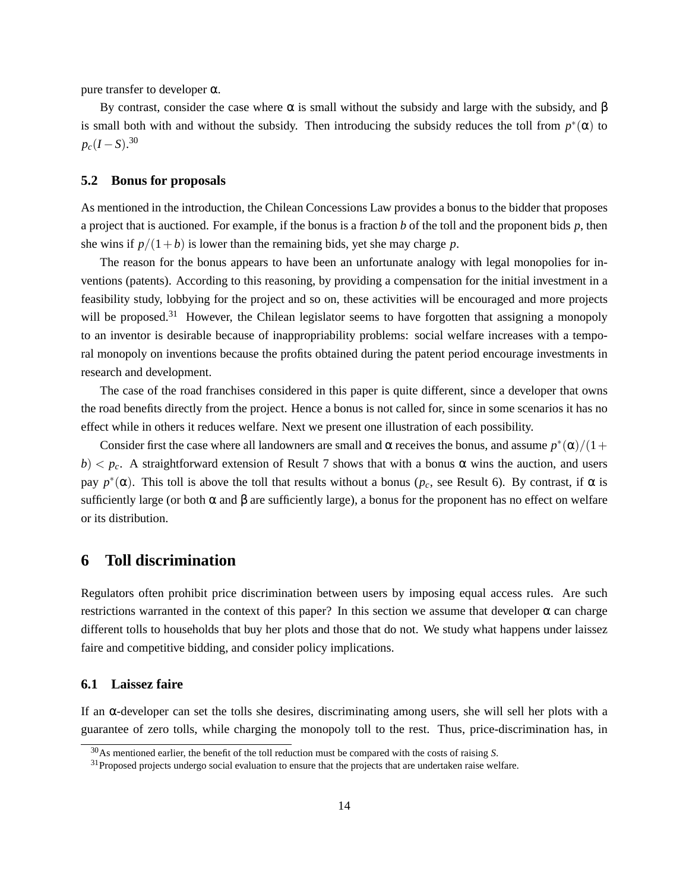pure transfer to developer α.

By contrast, consider the case where  $\alpha$  is small without the subsidy and large with the subsidy, and  $\beta$ is small both with and without the subsidy. Then introducing the subsidy reduces the toll from  $p^*(\alpha)$  to  $p_c(I-S)$ <sup>30</sup>

#### **5.2 Bonus for proposals**

As mentioned in the introduction, the Chilean Concessions Law provides a bonus to the bidder that proposes a project that is auctioned. For example, if the bonus is a fraction *b* of the toll and the proponent bids *p*, then she wins if  $p/(1+b)$  is lower than the remaining bids, yet she may charge *p*.

The reason for the bonus appears to have been an unfortunate analogy with legal monopolies for inventions (patents). According to this reasoning, by providing a compensation for the initial investment in a feasibility study, lobbying for the project and so on, these activities will be encouraged and more projects will be proposed.<sup>31</sup> However, the Chilean legislator seems to have forgotten that assigning a monopoly to an inventor is desirable because of inappropriability problems: social welfare increases with a temporal monopoly on inventions because the profits obtained during the patent period encourage investments in research and development.

The case of the road franchises considered in this paper is quite different, since a developer that owns the road benefits directly from the project. Hence a bonus is not called for, since in some scenarios it has no effect while in others it reduces welfare. Next we present one illustration of each possibility.

Consider first the case where all landowners are small and  $\alpha$  receives the bonus, and assume  $p^*(\alpha)/(1+\alpha)$  $b$ )  $\lt p_c$ . A straightforward extension of Result 7 shows that with a bonus  $\alpha$  wins the auction, and users  $p_0$  *p*<sup>\*</sup>(α). This toll is above the toll that results without a bonus (*p<sub>c</sub>*, see Result 6). By contrast, if α is sufficiently large (or both  $\alpha$  and  $\beta$  are sufficiently large), a bonus for the proponent has no effect on welfare or its distribution.

### **6 Toll discrimination**

Regulators often prohibit price discrimination between users by imposing equal access rules. Are such restrictions warranted in the context of this paper? In this section we assume that developer  $\alpha$  can charge different tolls to households that buy her plots and those that do not. We study what happens under laissez faire and competitive bidding, and consider policy implications.

### **6.1 Laissez faire**

If an  $\alpha$ -developer can set the tolls she desires, discriminating among users, she will sell her plots with a guarantee of zero tolls, while charging the monopoly toll to the rest. Thus, price-discrimination has, in

<sup>30</sup>As mentioned earlier, the benefit of the toll reduction must be compared with the costs of raising *S*.

<sup>&</sup>lt;sup>31</sup>Proposed projects undergo social evaluation to ensure that the projects that are undertaken raise welfare.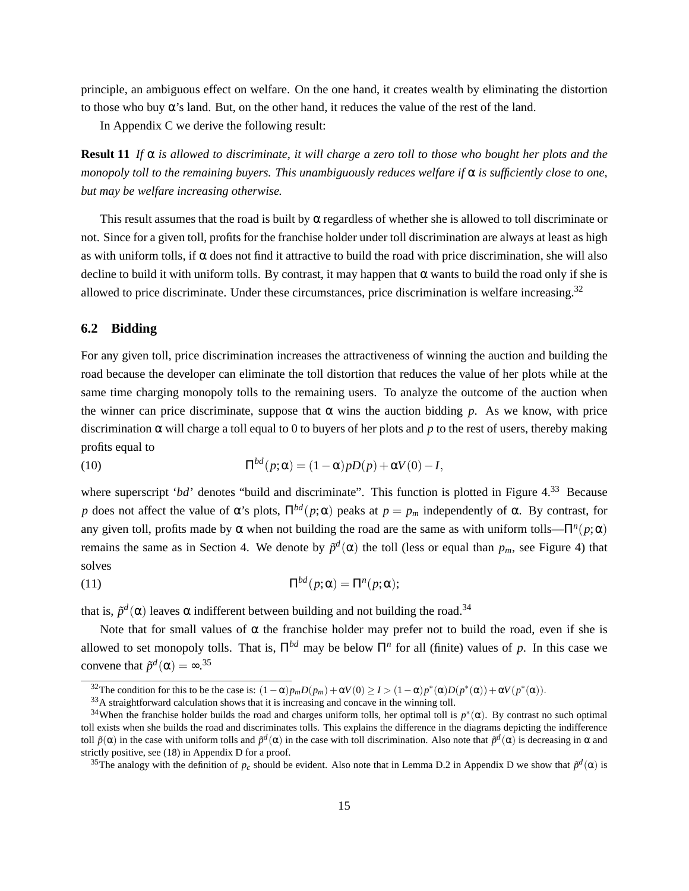principle, an ambiguous effect on welfare. On the one hand, it creates wealth by eliminating the distortion to those who buy  $\alpha$ 's land. But, on the other hand, it reduces the value of the rest of the land.

In Appendix C we derive the following result:

**Result 11** *If*  $\alpha$  *is allowed to discriminate, it will charge a zero toll to those who bought her plots and the monopoly toll to the remaining buyers. This unambiguously reduces welfare if* α *is sufficiently close to one, but may be welfare increasing otherwise.*

This result assumes that the road is built by  $\alpha$  regardless of whether she is allowed to toll discriminate or not. Since for a given toll, profits for the franchise holder under toll discrimination are always at least as high as with uniform tolls, if  $\alpha$  does not find it attractive to build the road with price discrimination, she will also decline to build it with uniform tolls. By contrast, it may happen that  $\alpha$  wants to build the road only if she is allowed to price discriminate. Under these circumstances, price discrimination is welfare increasing.<sup>32</sup>

#### **6.2 Bidding**

For any given toll, price discrimination increases the attractiveness of winning the auction and building the road because the developer can eliminate the toll distortion that reduces the value of her plots while at the same time charging monopoly tolls to the remaining users. To analyze the outcome of the auction when the winner can price discriminate, suppose that  $\alpha$  wins the auction bidding *p*. As we know, with price discrimination  $\alpha$  will charge a toll equal to 0 to buyers of her plots and p to the rest of users, thereby making profits equal to

(10) 
$$
\Pi^{bd}(p;\alpha) = (1-\alpha)pD(p) + \alpha V(0) - I,
$$

where superscript '*bd*' denotes "build and discriminate". This function is plotted in Figure 4.<sup>33</sup> Because *p* does not affect the value of α's plots,  $\Pi^{bd}(p;\alpha)$  peaks at  $p = p_m$  independently of α. By contrast, for any given toll, profits made by  $\alpha$  when not building the road are the same as with uniform tolls— $\Pi^n(p;\alpha)$ remains the same as in Section 4. We denote by  $\tilde{p}^d(\alpha)$  the toll (less or equal than  $p_m$ , see Figure 4) that solves

(11) 
$$
\Pi^{bd}(p;\alpha) = \Pi^{n}(p;\alpha);
$$

that is,  $\tilde{p}^d(\alpha)$  leaves  $\alpha$  indifferent between building and not building the road.<sup>34</sup>

Note that for small values of  $\alpha$  the franchise holder may prefer not to build the road, even if she is allowed to set monopoly tolls. That is,  $\Pi^{bd}$  may be below  $\Pi^n$  for all (finite) values of p. In this case we convene that  $\tilde{p}^d(\alpha) = \infty^{35}$ 

<sup>&</sup>lt;sup>32</sup>The condition for this to be the case is:  $(1 - \alpha)p_mD(p_m) + \alpha V(0) \ge I > (1 - \alpha)p^*(\alpha)D(p^*(\alpha)) + \alpha V(p^*(\alpha))$ .

<sup>33</sup>A straightforward calculation shows that it is increasing and concave in the winning toll.

<sup>&</sup>lt;sup>34</sup>When the franchise holder builds the road and charges uniform tolls, her optimal toll is  $p^*(\alpha)$ . By contrast no such optimal toll exists when she builds the road and discriminates tolls. This explains the difference in the diagrams depicting the indifference toll  $\tilde{p}(\alpha)$  in the case with uniform tolls and  $\tilde{p}^d(\alpha)$  in the case with toll discrimination. Also note that  $\tilde{p}^d(\alpha)$  is decreasing in  $\alpha$  and strictly positive, see (18) in Appendix D for a proof.

<sup>&</sup>lt;sup>35</sup>The analogy with the definition of  $p_c$  should be evident. Also note that in Lemma D.2 in Appendix D we show that  $\tilde{p}^d(\alpha)$  is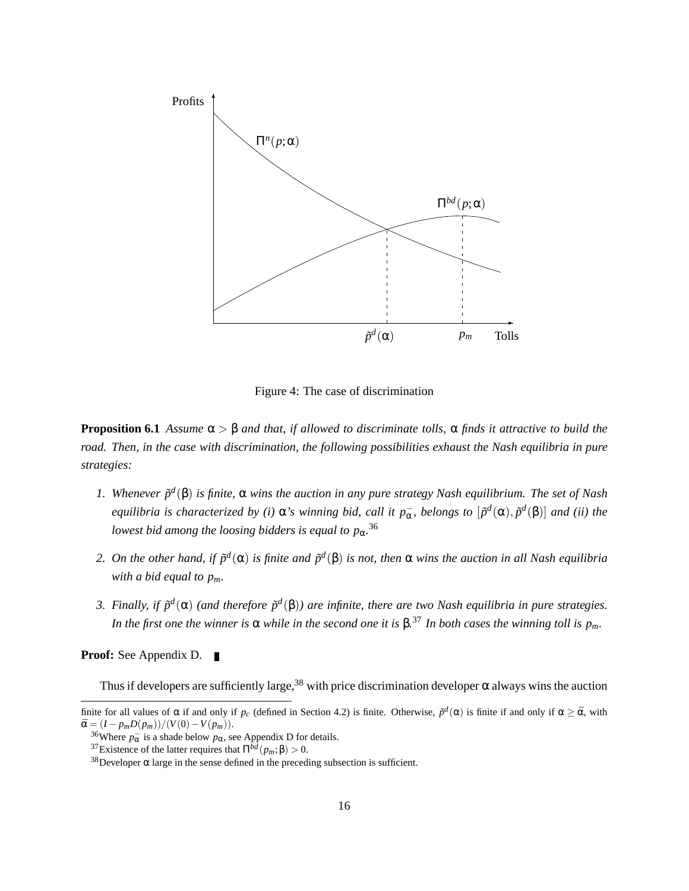

Figure 4: The case of discrimination

**Proposition 6.1** *Assume* α > β *and that, if allowed to discriminate tolls,* α *finds it attractive to build the road. Then, in the case with discrimination, the following possibilities exhaust the Nash equilibria in pure strategies:*

- *1. Whenever p*˜ *d* (β) *is finite,* α *wins the auction in any pure strategy Nash equilibrium. The set of Nash equilibria is characterized by (i)*  $\alpha$ 's winning bid, call it  $p_{\alpha}^-$ , belongs to  $[\tilde{p}^d(\alpha), \tilde{p}^d(\beta)]$  and (ii) the *lowest bid among the loosing bidders is equal to p*α*.* 36
- 2. On the other hand, if  $\tilde{p}^d(\alpha)$  is finite and  $\tilde{p}^d(\beta)$  is not, then  $\alpha$  wins the auction in all Nash equilibria *with a bid equal to pm.*
- 3. Finally, if  $\tilde{p}^d(\alpha)$  (and therefore  $\tilde{p}^d(\beta)$ ) are infinite, there are two Nash equilibria in pure strategies. *In the first one the winner is*  $\alpha$  *while in the second one it is*  $\beta$ .<sup>37</sup> *In both cases the winning toll is*  $p_m$ .

**Proof:** See Appendix D.  $\blacksquare$ 

Thus if developers are sufficiently large,<sup>38</sup> with price discrimination developer  $\alpha$  always wins the auction

finite for all values of  $\alpha$  if and only if  $p_c$  (defined in Section 4.2) is finite. Otherwise,  $\tilde{p}^d(\alpha)$  is finite if and only if  $\alpha \ge \bar{\alpha}$ , with  $\bar{\alpha} = (I - p_m D(p_m))/(V(0) - V(p_m)).$ 

<sup>&</sup>lt;sup>36</sup>Where  $p_{\alpha}^-$  is a shade below  $p_{\alpha}$ , see Appendix D for details.

<sup>&</sup>lt;sup>37</sup>Existence of the latter requires that  $\Pi^{\bar{b}\bar{d}}(p_m;\beta) > 0$ .

 $38$  Developer α large in the sense defined in the preceding subsection is sufficient.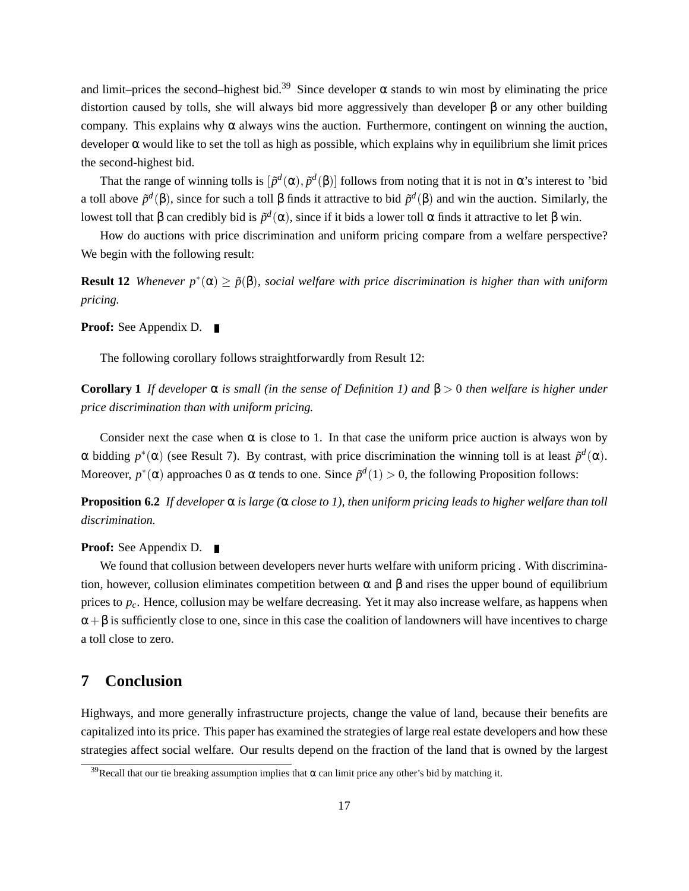and limit–prices the second–highest bid.<sup>39</sup> Since developer  $\alpha$  stands to win most by eliminating the price distortion caused by tolls, she will always bid more aggressively than developer β or any other building company. This explains why  $\alpha$  always wins the auction. Furthermore, contingent on winning the auction, developer  $\alpha$  would like to set the toll as high as possible, which explains why in equilibrium she limit prices the second-highest bid.

That the range of winning tolls is  $[\tilde{p}^d(\alpha), \tilde{p}^d(\beta)]$  follows from noting that it is not in  $\alpha$ 's interest to 'bid a toll above  $\tilde{p}^d(\beta)$ , since for such a toll  $\beta$  finds it attractive to bid  $\tilde{p}^d(\beta)$  and win the auction. Similarly, the lowest toll that β can credibly bid is  $\tilde{p}^d(α)$ , since if it bids a lower toll α finds it attractive to let β win.

How do auctions with price discrimination and uniform pricing compare from a welfare perspective? We begin with the following result:

**Result 12** *Whenever*  $p^*(\alpha) \geq \tilde{p}(\beta)$ *, social welfare with price discrimination is higher than with uniform pricing.*

**Proof:** See Appendix D. ■

The following corollary follows straightforwardly from Result 12:

**Corollary 1** *If developer* α *is small (in the sense of Definition 1) and* β > 0 *then welfare is higher under price discrimination than with uniform pricing.*

Consider next the case when  $\alpha$  is close to 1. In that case the uniform price auction is always won by  $\alpha$  bidding  $p^*(\alpha)$  (see Result 7). By contrast, with price discrimination the winning toll is at least  $\tilde{p}^d(\alpha)$ . Moreover,  $p^*(\alpha)$  approaches 0 as  $\alpha$  tends to one. Since  $\tilde{p}^d(1) > 0$ , the following Proposition follows:

**Proposition 6.2** *If developer* α *is large (*α *close to 1), then uniform pricing leads to higher welfare than toll discrimination.*

### **Proof:** See Appendix D. ■

We found that collusion between developers never hurts welfare with uniform pricing . With discrimination, however, collusion eliminates competition between α and β and rises the upper bound of equilibrium prices to *pc*. Hence, collusion may be welfare decreasing. Yet it may also increase welfare, as happens when  $\alpha + \beta$  is sufficiently close to one, since in this case the coalition of landowners will have incentives to charge a toll close to zero.

# **7 Conclusion**

Highways, and more generally infrastructure projects, change the value of land, because their benefits are capitalized into its price. This paper has examined the strategies of large real estate developers and how these strategies affect social welfare. Our results depend on the fraction of the land that is owned by the largest

<sup>&</sup>lt;sup>39</sup>Recall that our tie breaking assumption implies that  $\alpha$  can limit price any other's bid by matching it.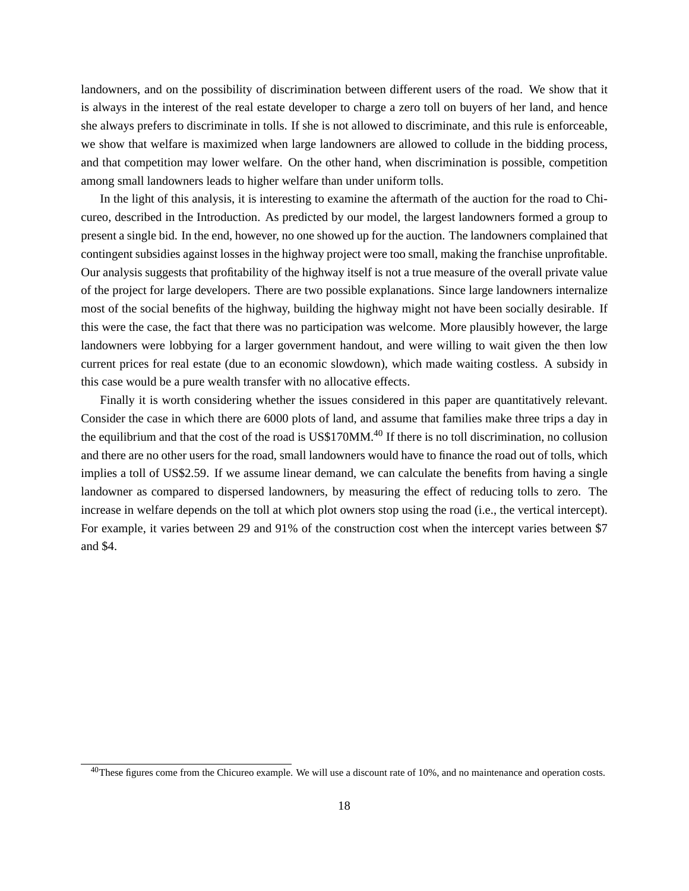landowners, and on the possibility of discrimination between different users of the road. We show that it is always in the interest of the real estate developer to charge a zero toll on buyers of her land, and hence she always prefers to discriminate in tolls. If she is not allowed to discriminate, and this rule is enforceable, we show that welfare is maximized when large landowners are allowed to collude in the bidding process, and that competition may lower welfare. On the other hand, when discrimination is possible, competition among small landowners leads to higher welfare than under uniform tolls.

In the light of this analysis, it is interesting to examine the aftermath of the auction for the road to Chicureo, described in the Introduction. As predicted by our model, the largest landowners formed a group to present a single bid. In the end, however, no one showed up for the auction. The landowners complained that contingent subsidies against losses in the highway project were too small, making the franchise unprofitable. Our analysis suggests that profitability of the highway itself is not a true measure of the overall private value of the project for large developers. There are two possible explanations. Since large landowners internalize most of the social benefits of the highway, building the highway might not have been socially desirable. If this were the case, the fact that there was no participation was welcome. More plausibly however, the large landowners were lobbying for a larger government handout, and were willing to wait given the then low current prices for real estate (due to an economic slowdown), which made waiting costless. A subsidy in this case would be a pure wealth transfer with no allocative effects.

Finally it is worth considering whether the issues considered in this paper are quantitatively relevant. Consider the case in which there are 6000 plots of land, and assume that families make three trips a day in the equilibrium and that the cost of the road is US\$170MM.<sup>40</sup> If there is no toll discrimination, no collusion and there are no other users for the road, small landowners would have to finance the road out of tolls, which implies a toll of US\$2.59. If we assume linear demand, we can calculate the benefits from having a single landowner as compared to dispersed landowners, by measuring the effect of reducing tolls to zero. The increase in welfare depends on the toll at which plot owners stop using the road (i.e., the vertical intercept). For example, it varies between 29 and 91% of the construction cost when the intercept varies between \$7 and \$4.

 $40$ These figures come from the Chicureo example. We will use a discount rate of 10%, and no maintenance and operation costs.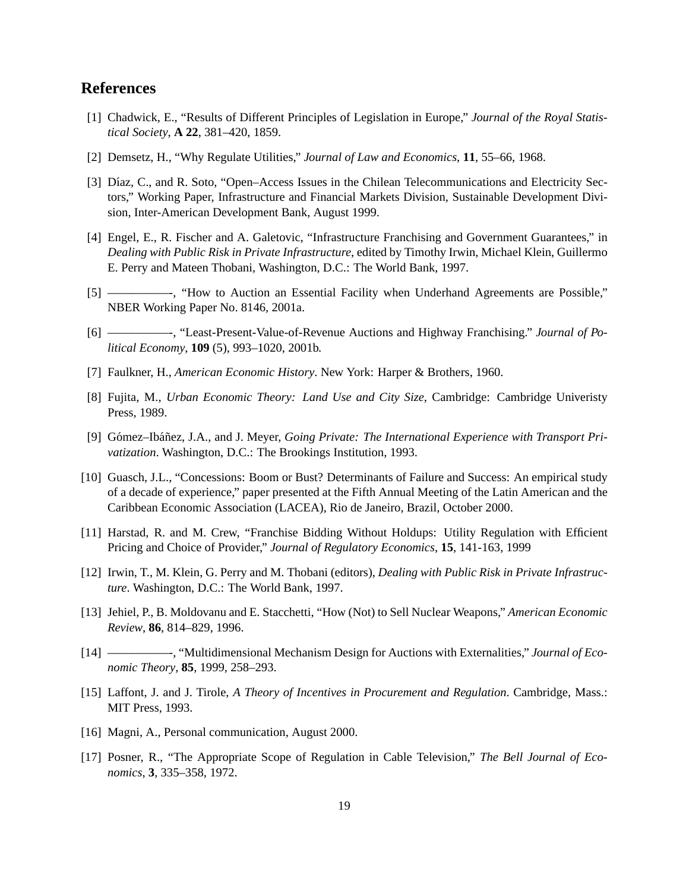# **References**

- [1] Chadwick, E., "Results of Different Principles of Legislation in Europe," *Journal of the Royal Statistical Society*, **A 22**, 381–420, 1859.
- [2] Demsetz, H., "Why Regulate Utilities," *Journal of Law and Economics*, **11**, 55–66, 1968.
- [3] Díaz, C., and R. Soto, "Open–Access Issues in the Chilean Telecommunications and Electricity Sectors," Working Paper, Infrastructure and Financial Markets Division, Sustainable Development Division, Inter-American Development Bank, August 1999.
- [4] Engel, E., R. Fischer and A. Galetovic, "Infrastructure Franchising and Government Guarantees," in *Dealing with Public Risk in Private Infrastructure*, edited by Timothy Irwin, Michael Klein, Guillermo E. Perry and Mateen Thobani, Washington, D.C.: The World Bank, 1997.
- [5] —————-, "How to Auction an Essential Facility when Underhand Agreements are Possible," NBER Working Paper No. 8146, 2001a.
- [6] —————-, "Least-Present-Value-of-Revenue Auctions and Highway Franchising." *Journal of Political Economy*, **109** (5), 993–1020, 2001b.
- [7] Faulkner, H., *American Economic History*. New York: Harper & Brothers, 1960.
- [8] Fujita, M., *Urban Economic Theory: Land Use and City Size*, Cambridge: Cambridge Univeristy Press, 1989.
- [9] Gómez–Ibáñez, J.A., and J. Meyer, *Going Private: The International Experience with Transport Privatization*. Washington, D.C.: The Brookings Institution, 1993.
- [10] Guasch, J.L., "Concessions: Boom or Bust? Determinants of Failure and Success: An empirical study of a decade of experience," paper presented at the Fifth Annual Meeting of the Latin American and the Caribbean Economic Association (LACEA), Rio de Janeiro, Brazil, October 2000.
- [11] Harstad, R. and M. Crew, "Franchise Bidding Without Holdups: Utility Regulation with Efficient Pricing and Choice of Provider," *Journal of Regulatory Economics*, **15**, 141-163, 1999
- [12] Irwin, T., M. Klein, G. Perry and M. Thobani (editors), *Dealing with Public Risk in Private Infrastructure*. Washington, D.C.: The World Bank, 1997.
- [13] Jehiel, P., B. Moldovanu and E. Stacchetti, "How (Not) to Sell Nuclear Weapons," *American Economic Review*, **86**, 814–829, 1996.
- [14] —————-, "Multidimensional Mechanism Design for Auctions with Externalities," *Journal of Economic Theory*, **85**, 1999, 258–293.
- [15] Laffont, J. and J. Tirole, *A Theory of Incentives in Procurement and Regulation*. Cambridge, Mass.: MIT Press, 1993.
- [16] Magni, A., Personal communication, August 2000.
- [17] Posner, R., "The Appropriate Scope of Regulation in Cable Television," *The Bell Journal of Economics*, **3**, 335–358, 1972.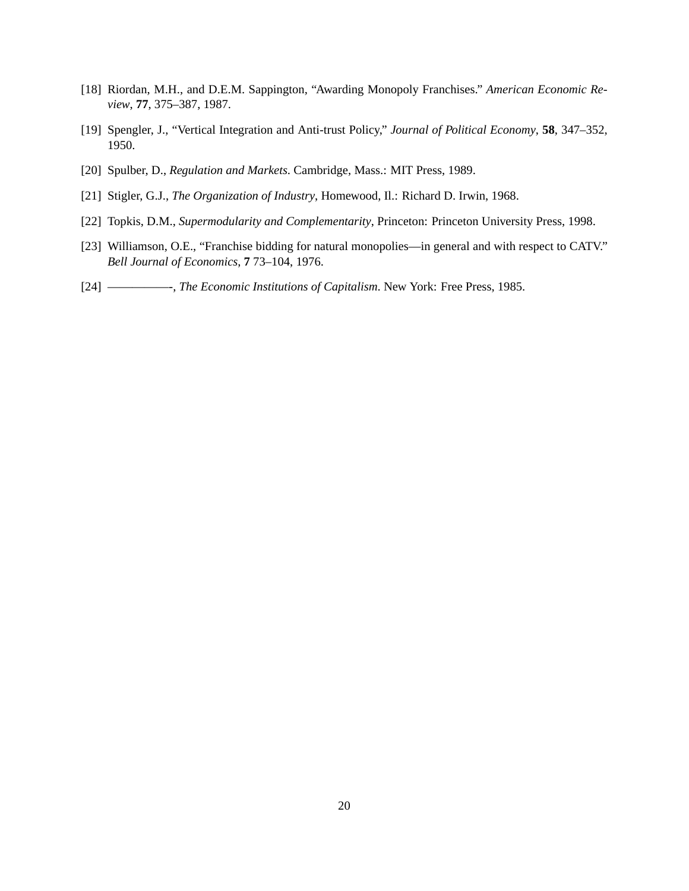- [18] Riordan, M.H., and D.E.M. Sappington, "Awarding Monopoly Franchises." *American Economic Review*, **77**, 375–387, 1987.
- [19] Spengler, J., "Vertical Integration and Anti-trust Policy," *Journal of Political Economy*, **58**, 347–352, 1950.
- [20] Spulber, D., *Regulation and Markets*. Cambridge, Mass.: MIT Press, 1989.
- [21] Stigler, G.J., *The Organization of Industry*, Homewood, Il.: Richard D. Irwin, 1968.
- [22] Topkis, D.M., *Supermodularity and Complementarity*, Princeton: Princeton University Press, 1998.
- [23] Williamson, O.E., "Franchise bidding for natural monopolies—in general and with respect to CATV." *Bell Journal of Economics*, **7** 73–104, 1976.
- [24] —————-, *The Economic Institutions of Capitalism*. New York: Free Press, 1985.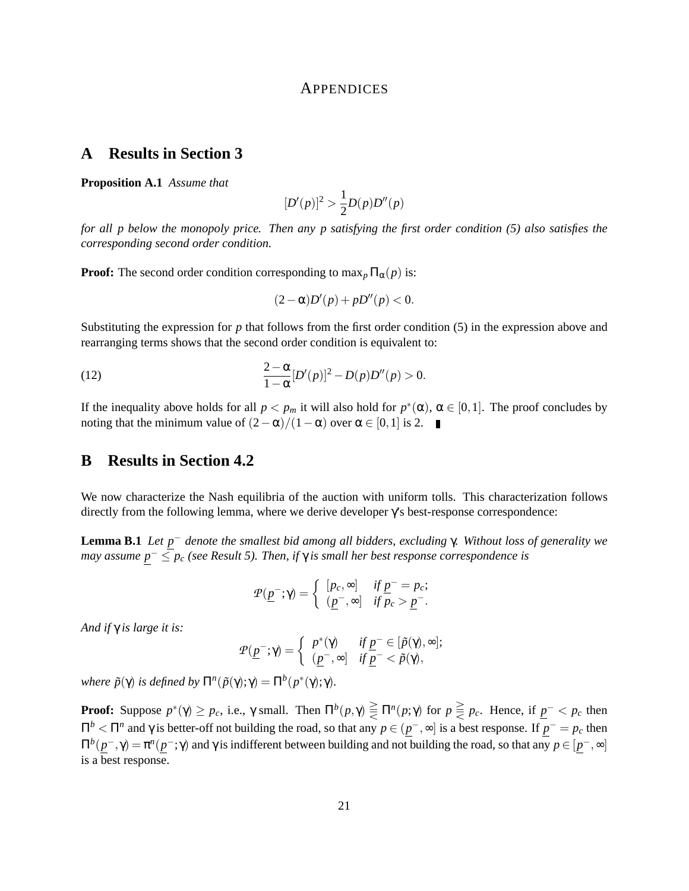### APPENDICES

# **A Results in Section 3**

**Proposition A.1** *Assume that*

$$
[D'(p)]^2 > \frac{1}{2}D(p)D''(p)
$$

*for all p below the monopoly price. Then any p satisfying the first order condition (5) also satisfies the corresponding second order condition.*

**Proof:** The second order condition corresponding to  $\max_{p} \Pi_{\alpha}(p)$  is:

$$
(2-\alpha)D'(p)+pD''(p)<0.
$$

Substituting the expression for *p* that follows from the first order condition (5) in the expression above and rearranging terms shows that the second order condition is equivalent to:

(12) 
$$
\frac{2-\alpha}{1-\alpha} [D'(p)]^2 - D(p)D''(p) > 0.
$$

If the inequality above holds for all  $p < p_m$  it will also hold for  $p^*(\alpha)$ ,  $\alpha \in [0,1]$ . The proof concludes by noting that the minimum value of  $(2-\alpha)/(1-\alpha)$  over  $\alpha \in [0,1]$  is 2. ■

### **B Results in Section 4.2**

We now characterize the Nash equilibria of the auction with uniform tolls. This characterization follows directly from the following lemma, where we derive developer γ's best-response correspondence:

**Lemma B.1** *Let p* <sup>−</sup> *denote the smallest bid among all bidders, excluding* γ*. Without loss of generality we may assume p* <sup>−</sup> ≤ *p<sup>c</sup> (see Result 5). Then, if* γ *is small her best response correspondence is*

$$
\mathcal{P}(\underline{p}^-;\gamma) = \begin{cases} [p_c,\infty] & \text{if } \underline{p}^- = p_c; \\ (\underline{p}^-,\infty] & \text{if } p_c > \underline{p}^-.\end{cases}
$$

*And if* γ *is large it is:*

$$
\mathcal{P}(\underline{p}^-;\gamma)=\left\{\begin{array}{ll}p^*(\gamma)&\text{if } \underline{p}^-\in[\tilde{p}(\gamma),\infty];\\ (\underline{p}^-,\infty]&\text{if }\underline{p}^-<\tilde{p}(\gamma),\end{array}\right.
$$

*where*  $\tilde{p}(\gamma)$  *is defined by*  $\Pi^n(\tilde{p}(\gamma); \gamma) = \Pi^b(p^*(\gamma); \gamma)$ *.* 

**Proof:** Suppose  $p^*(\gamma) \ge p_c$ , i.e.,  $\gamma$  small. Then  $\Pi^b(p, \gamma) \ge \Pi^n(p, \gamma)$  for  $p \ge p_c$ . Hence, if  $p^- < p_c$  then  $\Pi^b$  <  $\Pi^n$  and γ is better-off not building the road, so that any  $p \in (p^-,\infty]$  is a best response. If  $p^- = p_c$  then  $\Pi^b(p^-, \gamma) = \pi^a(p^-, \gamma)$  and γ is indifferent between building and not building the road, so that any *p* ∈ [*p*<sup>−</sup>,∞] is a best response.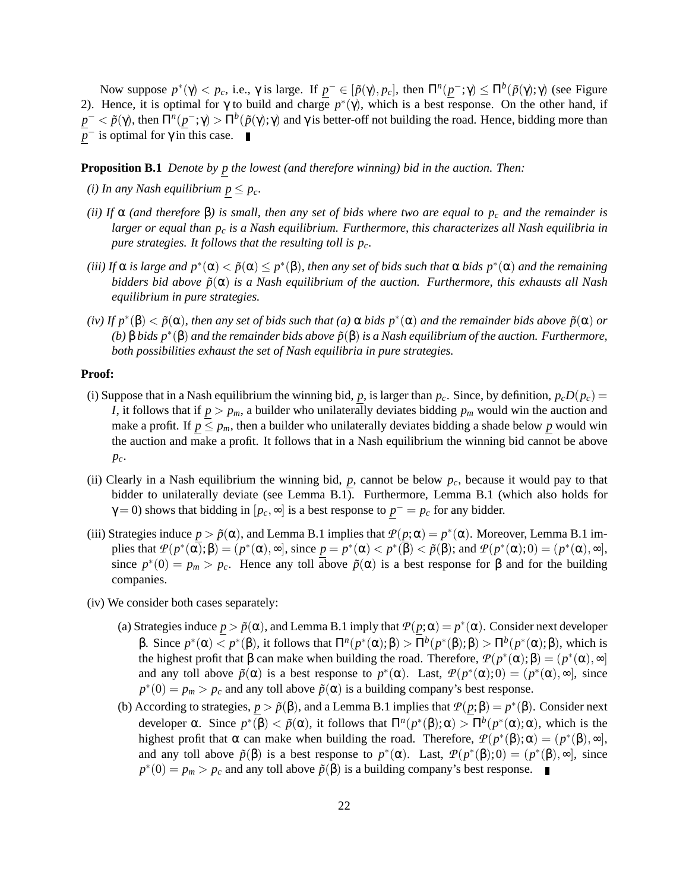Now suppose  $p^*(γ) < p_c$ , i.e., γ is large. If  $p^- ∈ [p(γ), p_c]$ , then  $\Pi^n(p^-; γ) ≤ \Pi^b(p(γ); γ)$  (see Figure 2). Hence, it is optimal for  $\gamma$  to build and charge  $p^*(\gamma)$ , which is a best response. On the other hand, if  $p^- < \tilde{p}(\gamma)$ , then  $\Pi^n(p^-; \gamma) > \Pi^b(\tilde{p}(\gamma); \gamma)$  and γ is better-off not building the road. Hence, bidding more than  $\bar{p}$ <sup>-</sup> is optimal for  $\gamma$  in this case.

**Proposition B.1** *Denote by p the lowest (and therefore winning) bid in the auction. Then:*

- *(i)* In any Nash equilibrium  $p \leq p_c$ .
- *(ii)* If  $\alpha$  *(and therefore*  $\beta$ *) is small, then any set of bids where two are equal to*  $p_c$  *and the remainder is larger or equal than p<sup>c</sup> is a Nash equilibrium. Furthermore, this characterizes all Nash equilibria in pure strategies. It follows that the resulting toll is pc.*
- (*iii*) If  $\alpha$  is large and  $p^*(\alpha) < \tilde{p}(\alpha) \leq p^*(\beta)$ , then any set of bids such that  $\alpha$  bids  $p^*(\alpha)$  and the remaining *bidders bid above p*˜(α) *is a Nash equilibrium of the auction. Furthermore, this exhausts all Nash equilibrium in pure strategies.*
- $(iv)$  If  $p^*(\beta) < \tilde{p}(\alpha)$ , then any set of bids such that  $(a)$   $\alpha$  bids  $p^*(\alpha)$  and the remainder bids above  $\tilde{p}(\alpha)$  or *(b)* β *bids*  $p^*(β)$  *and the remainder bids above*  $\tilde{p}(β)$  *is a Nash equilibrium of the auction. Furthermore, both possibilities exhaust the set of Nash equilibria in pure strategies.*

#### **Proof:**

- (i) Suppose that in a Nash equilibrium the winning bid, *p*, is larger than  $p_c$ . Since, by definition,  $p_cD(p_c)$  = *I*, it follows that if  $p > p_m$ , a builder who unilaterally deviates bidding  $p_m$  would win the auction and make a profit. If  $p \leq p_m$ , then a builder who unilaterally deviates bidding a shade below p would win the auction and make a profit. It follows that in a Nash equilibrium the winning bid cannot be above *pc*.
- (ii) Clearly in a Nash equilibrium the winning bid,  $p$ , cannot be below  $p_c$ , because it would pay to that bidder to unilaterally deviate (see Lemma B.1). Furthermore, Lemma B.1 (which also holds for  $\gamma = 0$ ) shows that bidding in  $[p_c, \infty]$  is a best response to  $p^- = p_c$  for any bidder.
- (iii) Strategies induce  $p > \tilde{p}(\alpha)$ , and Lemma B.1 implies that  $P(p; \alpha) = p^*(\alpha)$ . Moreover, Lemma B.1 implies that  $P(p^*(\alpha), \beta) = (p^*(\alpha), \infty)$ , since  $p = p^*(\alpha) < p^*(\overline{\beta}) < \tilde{p}(\beta)$ ; and  $P(p^*(\alpha), 0) = (p^*(\alpha), \infty)$ , since  $p^*(0) = p_m > p_c$ . Hence any toll above  $\tilde{p}(\alpha)$  is a best response for  $\beta$  and for the building companies.
- (iv) We consider both cases separately:
	- (a) Strategies induce  $p > \tilde{p}(\alpha)$ , and Lemma B.1 imply that  $\mathcal{P}(p;\alpha) = p^*(\alpha)$ . Consider next developer β. Since  $p^*(\alpha) < p^*(\beta)$ , it follows that  $\Pi^n(p^*(\alpha); \beta) > \Pi^b(p^*(\beta); \beta) > \Pi^b(p^*(\alpha); \beta)$ , which is the highest profit that  $\beta$  can make when building the road. Therefore,  $\mathcal{P}(p^*(\alpha); \beta) = (p^*(\alpha), \infty)$ and any toll above  $\tilde{p}(\alpha)$  is a best response to  $p^*(\alpha)$ . Last,  $\mathcal{P}(p^*(\alpha);0) = (p^*(\alpha), \infty)$ , since  $p^*(0) = p_m > p_c$  and any toll above  $\tilde{p}(\alpha)$  is a building company's best response.
	- (b) According to strategies,  $p > \tilde{p}(\beta)$ , and a Lemma B.1 implies that  $\mathcal{P}(p;\beta) = p^*(\beta)$ . Consider next developer  $\alpha$ . Since  $p^*(\beta) < \tilde{p}(\alpha)$ , it follows that  $\Pi^n(p^*(\beta); \alpha) > \Pi^b(p^*(\alpha); \alpha)$ , which is the highest profit that  $\alpha$  can make when building the road. Therefore,  $P(p^*(\beta);\alpha) = (p^*(\beta), \infty)$ , and any toll above  $\tilde{p}(\beta)$  is a best response to  $p^*(\alpha)$ . Last,  $\mathcal{P}(p^*(\beta);0) = (p^*(\beta), \infty)$ , since  $p^*(0) = p_m > p_c$  and any toll above  $\tilde{p}(\beta)$  is a building company's best response.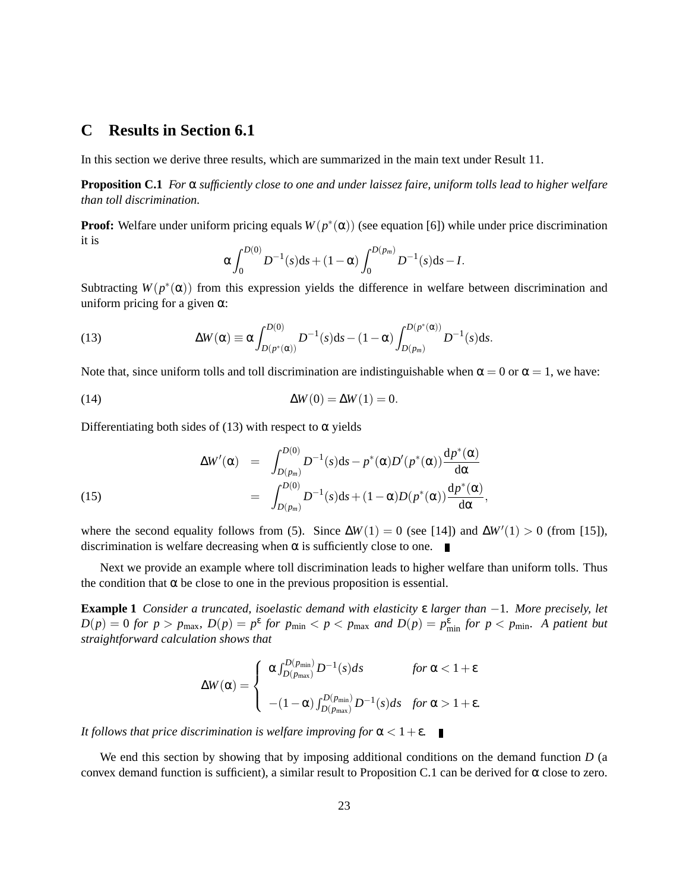# **C Results in Section 6.1**

In this section we derive three results, which are summarized in the main text under Result 11.

**Proposition C.1** *For* α *sufficiently close to one and under laissez faire, uniform tolls lead to higher welfare than toll discrimination.*

**Proof:** Welfare under uniform pricing equals  $W(p^*(\alpha))$  (see equation [6]) while under price discrimination it is

$$
\alpha \int_0^{D(0)} D^{-1}(s) ds + (1 - \alpha) \int_0^{D(p_m)} D^{-1}(s) ds - I.
$$

Subtracting  $W(p^*(\alpha))$  from this expression yields the difference in welfare between discrimination and uniform pricing for a given  $\alpha$ :

(13) 
$$
\Delta W(\alpha) \equiv \alpha \int_{D(p^*(\alpha))}^{D(0)} D^{-1}(s) ds - (1 - \alpha) \int_{D(p_m)}^{D(p^*(\alpha))} D^{-1}(s) ds.
$$

Note that, since uniform tolls and toll discrimination are indistinguishable when  $\alpha = 0$  or  $\alpha = 1$ , we have:

$$
\Delta W(0) = \Delta W(1) = 0.
$$

Differentiating both sides of (13) with respect to  $\alpha$  yields

(15) 
$$
\Delta W'(\alpha) = \int_{D(p_m)}^{D(0)} D^{-1}(s) ds - p^*(\alpha) D'(p^*(\alpha)) \frac{dp^*(\alpha)}{d\alpha} = \int_{D(p_m)}^{D(0)} D^{-1}(s) ds + (1 - \alpha) D(p^*(\alpha)) \frac{dp^*(\alpha)}{d\alpha},
$$

where the second equality follows from (5). Since  $\Delta W(1) = 0$  (see [14]) and  $\Delta W'(1) > 0$  (from [15]), discrimination is welfare decreasing when  $\alpha$  is sufficiently close to one.

Next we provide an example where toll discrimination leads to higher welfare than uniform tolls. Thus the condition that  $\alpha$  be close to one in the previous proposition is essential.

**Example 1** *Consider a truncated, isoelastic demand with elasticity* ε *larger than* −1*. More precisely, let*  $D(p) = 0$  for  $p > p_{\text{max}}$ ,  $D(p) = p^{\varepsilon}$  for  $p_{\text{min}} < p < p_{\text{max}}$  and  $D(p) = p_{\text{min}}^{\varepsilon}$  for  $p < p_{\text{min}}$ . A patient but *straightforward calculation shows that*

$$
\Delta W(\alpha) = \begin{cases} \alpha \int_{D(p_{\text{max}})}^{D(p_{\text{min}})} D^{-1}(s) ds & \text{for } \alpha < 1 + \varepsilon \\ - (1 - \alpha) \int_{D(p_{\text{max}})}^{D(p_{\text{min}})} D^{-1}(s) ds & \text{for } \alpha > 1 + \varepsilon. \end{cases}
$$

*It follows that price discrimination is welfare improving for*  $\alpha < 1 + \varepsilon$ .

We end this section by showing that by imposing additional conditions on the demand function *D* (a convex demand function is sufficient), a similar result to Proposition C.1 can be derived for  $\alpha$  close to zero.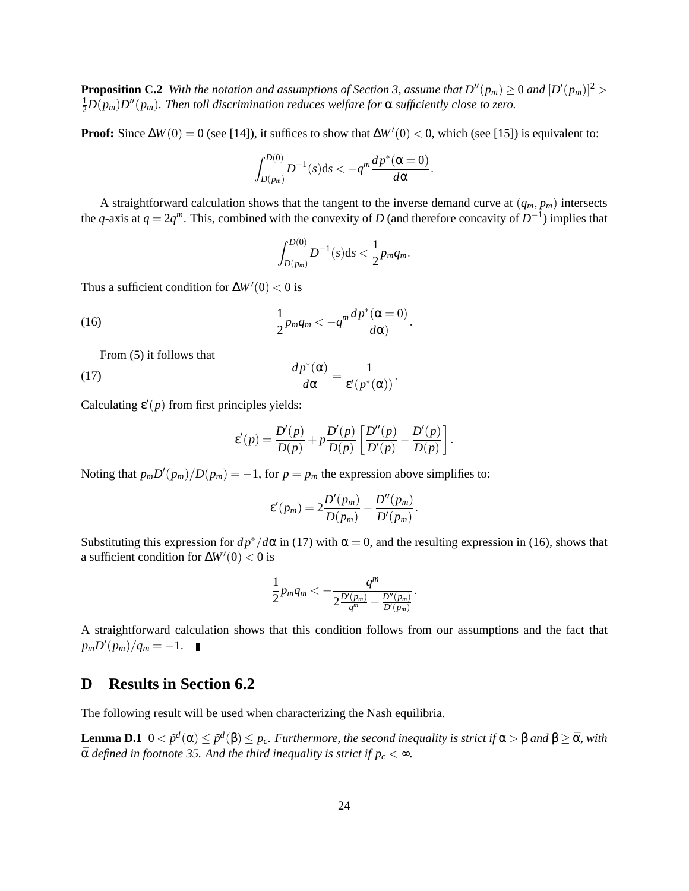**Proposition C.2** With the notation and assumptions of Section 3, assume that  $D''(p_m) \ge 0$  and  $[D'(p_m)]^2 > 0$  $\frac{1}{2}D(p_m)D''(p_m).$  Then toll discrimination reduces welfare for  $\alpha$  sufficiently close to zero.

**Proof:** Since  $\Delta W(0) = 0$  (see [14]), it suffices to show that  $\Delta W'(0) < 0$ , which (see [15]) is equivalent to:

$$
\int_{D(p_m)}^{D(0)} D^{-1}(s) \mathrm{d} s < -q^m \frac{dp^*(\alpha=0)}{d\alpha}.
$$

A straightforward calculation shows that the tangent to the inverse demand curve at  $(q_m, p_m)$  intersects the *q*-axis at  $q = 2q^m$ . This, combined with the convexity of *D* (and therefore concavity of  $D^{-1}$ ) implies that

$$
\int_{D(p_m)}^{D(0)} D^{-1}(s) \mathrm{d} s < \frac{1}{2} p_m q_m.
$$

Thus a sufficient condition for  $\Delta W'(0) < 0$  is

(16) 
$$
\frac{1}{2}p_m q_m < -q^m \frac{dp^*(\alpha=0)}{d\alpha}.
$$

From (5) it follows that

(17) 
$$
\frac{dp^*(\alpha)}{d\alpha} = \frac{1}{\varepsilon'(p^*(\alpha))}.
$$

Calculating  $\varepsilon'(p)$  from first principles yields:

$$
\varepsilon'(p) = \frac{D'(p)}{D(p)} + p \frac{D'(p)}{D(p)} \left[ \frac{D''(p)}{D'(p)} - \frac{D'(p)}{D(p)} \right].
$$

Noting that  $p_m D'(p_m) / D(p_m) = -1$ , for  $p = p_m$  the expression above simplifies to:

$$
\varepsilon'(p_m) = 2\frac{D'(p_m)}{D(p_m)} - \frac{D''(p_m)}{D'(p_m)}.
$$

Substituting this expression for  $dp^*/d\alpha$  in (17) with  $\alpha = 0$ , and the resulting expression in (16), shows that a sufficient condition for  $\Delta W'(0) < 0$  is

$$
\frac{1}{2}p_m q_m < -\frac{q^m}{2\frac{D'(p_m)}{q^m} - \frac{D''(p_m)}{D'(p_m)}}
$$

.

A straightforward calculation shows that this condition follows from our assumptions and the fact that  $p_m D'(p_m) / q_m = -1.$ 

### **D Results in Section 6.2**

The following result will be used when characterizing the Nash equilibria.

**Lemma D.1**  $0 < \tilde{p}^d(\alpha) \le \tilde{p}^d(\beta) \le p_c$ . Furthermore, the second inequality is strict if  $\alpha > \beta$  and  $\beta \ge \bar{\alpha}$ , with  $\bar{\alpha}$  *defined in footnote 35. And the third inequality is strict if*  $p_c < \infty$ *.*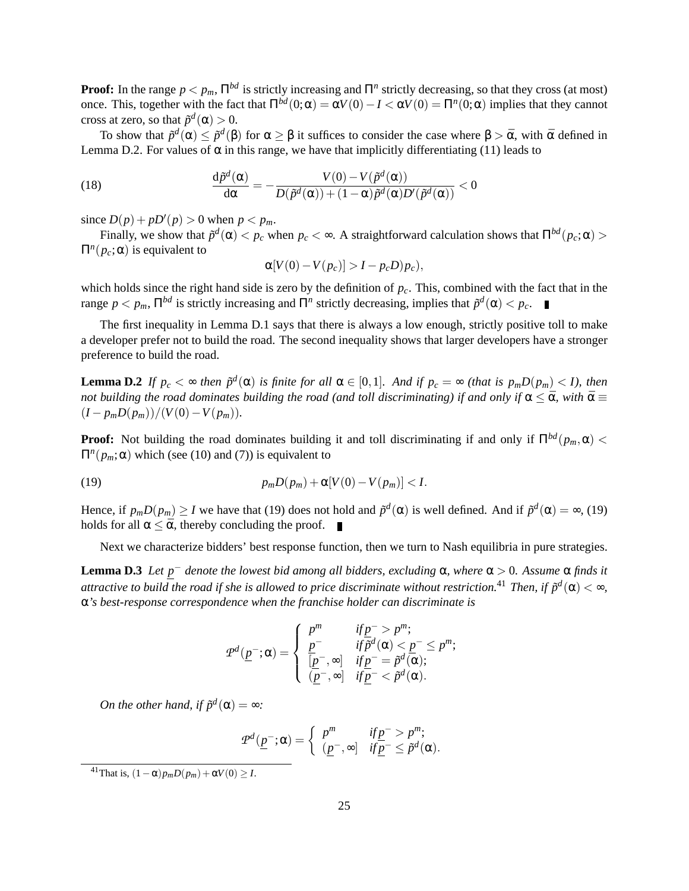**Proof:** In the range  $p < p_m$ ,  $\Pi^{bd}$  is strictly increasing and  $\Pi^n$  strictly decreasing, so that they cross (at most) once. This, together with the fact that  $\Pi^{bd}(0;α) = αV(0) − I < αV(0) = \Pi^{n}(0;α)$  implies that they cannot cross at zero, so that  $\tilde{p}^d(\alpha) > 0$ .

To show that  $\tilde{p}^d(\alpha) \leq \tilde{p}^d(\beta)$  for  $\alpha \geq \beta$  it suffices to consider the case where  $\beta > \bar{\alpha}$ , with  $\bar{\alpha}$  defined in Lemma D.2. For values of  $\alpha$  in this range, we have that implicitly differentiating (11) leads to

(18) 
$$
\frac{\mathrm{d}\tilde{p}^d(\alpha)}{\mathrm{d}\alpha} = -\frac{V(0) - V(\tilde{p}^d(\alpha))}{D(\tilde{p}^d(\alpha)) + (1-\alpha)\tilde{p}^d(\alpha)D'(\tilde{p}^d(\alpha))} < 0
$$

since  $D(p) + pD'(p) > 0$  when  $p < p_m$ .

Finally, we show that  $\tilde{p}^d(\alpha) < p_c$  when  $p_c < \infty$ . A straightforward calculation shows that  $\Pi^{bd}(p_c; \alpha) >$  $\Pi^n(p_c; \alpha)$  is equivalent to

$$
\alpha[V(0)-V(p_c)] > I - p_c D)p_c),
$$

which holds since the right hand side is zero by the definition of  $p_c$ . This, combined with the fact that in the range  $p < p_m$ ,  $\prod^{bd}$  is strictly increasing and  $\Pi^n$  strictly decreasing, implies that  $\tilde{p}^d(\alpha) < p_c$ .

The first inequality in Lemma D.1 says that there is always a low enough, strictly positive toll to make a developer prefer not to build the road. The second inequality shows that larger developers have a stronger preference to build the road.

**Lemma D.2** If  $p_c < \infty$  then  $\tilde{p}^d(\alpha)$  is finite for all  $\alpha \in [0,1]$ . And if  $p_c = \infty$  (that is  $p_m D(p_m) < I$ ), then *not building the road dominates building the road (and toll discriminating) if and only if*  $\alpha \leq \bar{\alpha}$ *, with*  $\bar{\alpha} \equiv$  $(I - p_m D(p_m))/(V(0) - V(p_m)).$ 

**Proof:** Not building the road dominates building it and toll discriminating if and only if  $\Pi^{bd}(p_m, \alpha)$  <  $\Pi^n(p_m; \alpha)$  which (see (10) and (7)) is equivalent to

(19) 
$$
p_m D(p_m) + \alpha [V(0) - V(p_m)] < I.
$$

Hence, if  $p_m D(p_m) \ge I$  we have that (19) does not hold and  $\tilde{p}^d(\alpha)$  is well defined. And if  $\tilde{p}^d(\alpha) = \infty$ , (19) holds for all  $\alpha \leq \bar{\alpha}$ , thereby concluding the proof.

Next we characterize bidders' best response function, then we turn to Nash equilibria in pure strategies.

**Lemma D.3** *Let p* <sup>−</sup> *denote the lowest bid among all bidders, excluding* α*, where* α > 0*. Assume* α *finds it*  $a$ ttractive to build the road if she is allowed to price discriminate without restriction. $^{41}$  Then, if  $\tilde{p}^d(\alpha)<\infty,$ α*'s best-response correspondence when the franchise holder can discriminate is*

$$
\mathcal{P}^d(\underline{p}^-;\alpha) = \begin{cases} p^m & \text{if } \underline{p}^- > p^m; \\ \frac{p^-}{[p^-,\infty]} & \text{if } \overline{p}^d(\alpha) < \underline{p}^- \le p^m; \\ \frac{p^-}{[p^-,\infty]} & \text{if } \underline{p}^- = \overline{p}^d(\alpha); \\ \frac{p^-}{[p^-,\infty]} & \text{if } \underline{p}^- < \overline{p}^d(\alpha). \end{cases}
$$

*On the other hand, if*  $\tilde{p}^d(\alpha) = \infty$ *:* 

$$
\mathcal{P}^d(\underline{p}^-;\alpha) = \begin{cases} p^m & \text{if } \underline{p}^- > p^m; \\ (\underline{p}^-,\infty] & \text{if } \underline{p}^- \leq \tilde{p}^d(\alpha). \end{cases}
$$

 $^{41}$ That is,  $(1 - \alpha)p_mD(p_m) + \alpha V(0) \geq I$ .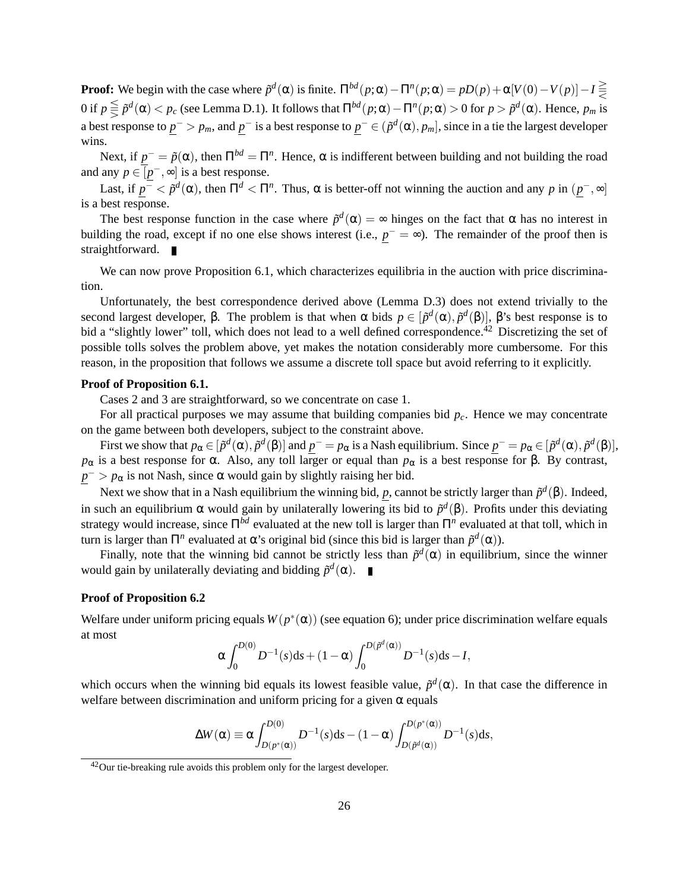**Proof:** We begin with the case where  $\tilde{p}^d(\alpha)$  is finite.  $\Pi^{bd}(p;\alpha) - \Pi^n(p;\alpha) = pD(p) + \alpha[V(0) - V(p)] - I \subseteq$  $0$  if  $p ≦ ∂p^d(α) < p_c$  (see Lemma D.1). It follows that  $\Pi^{bd}(p ; α) - \Pi^n(p ; α) > 0$  for  $p > � ^d(α)$ . Hence,  $p_m$  is a best response to  $p^- > p_m$ , and  $p^-$  is a best response to  $p^- \in (\tilde{p}^d(\alpha), p_m]$ , since in a tie the largest developer wins.

Next, if  $p^- = \tilde{p}(\alpha)$ , then  $\Pi^{bd} = \Pi^n$ . Hence,  $\alpha$  is indifferent between building and not building the road and any  $p \in [p^-,\infty]$  is a best response.

Last, if  $p^- < \tilde{p}^d(\alpha)$ , then  $\Pi^d < \Pi^n$ . Thus,  $\alpha$  is better-off not winning the auction and any p in  $(p^-,\infty]$ is a best response.

The best response function in the case where  $\tilde{p}^d(\alpha) = \infty$  hinges on the fact that  $\alpha$  has no interest in building the road, except if no one else shows interest (i.e.,  $p^- = \infty$ ). The remainder of the proof then is straightforward.

We can now prove Proposition 6.1, which characterizes equilibria in the auction with price discrimination.

Unfortunately, the best correspondence derived above (Lemma D.3) does not extend trivially to the second largest developer, β. The problem is that when α bids  $p \in [\tilde{p}^d(\alpha), \tilde{p}^d(\beta)]$ , β's best response is to bid a "slightly lower" toll, which does not lead to a well defined correspondence.<sup>42</sup> Discretizing the set of possible tolls solves the problem above, yet makes the notation considerably more cumbersome. For this reason, in the proposition that follows we assume a discrete toll space but avoid referring to it explicitly.

#### **Proof of Proposition 6.1.**

Cases 2 and 3 are straightforward, so we concentrate on case 1.

For all practical purposes we may assume that building companies bid *pc*. Hence we may concentrate on the game between both developers, subject to the constraint above.

First we show that  $p_\alpha \in [\tilde{p}^d(\alpha), \tilde{p}^d(\beta)]$  and  $p^- = p_\alpha$  is a Nash equilibrium. Since  $p^- = p_\alpha \in [\tilde{p}^d(\alpha), \tilde{p}^d(\beta)]$ , *p*<sub>α</sub> is a best response for α. Also, any toll larger or equal than *p*<sub>α</sub> is a best response for β. By contrast,  $p^{-} > p_{\alpha}$  is not Nash, since  $\alpha$  would gain by slightly raising her bid.

Next we show that in a Nash equilibrium the winning bid, *p*, cannot be strictly larger than  $\tilde{p}^d(\beta)$ . Indeed, in such an equilibrium  $\alpha$  would gain by unilaterally lowering its bid to  $\tilde{p}^d(\beta)$ . Profits under this deviating strategy would increase, since Π*bd* evaluated at the new toll is larger than Π*<sup>n</sup>* evaluated at that toll, which in turn is larger than Π<sup>*n*</sup> evaluated at α's original bid (since this bid is larger than  $\tilde{p}^d$ (α)).

Finally, note that the winning bid cannot be strictly less than  $\tilde{p}^d(\alpha)$  in equilibrium, since the winner would gain by unilaterally deviating and bidding  $\tilde{p}^d(\alpha)$ .

#### **Proof of Proposition 6.2**

Welfare under uniform pricing equals  $W(p^*(\alpha))$  (see equation 6); under price discrimination welfare equals at most

$$
\alpha \int_0^{D(0)} D^{-1}(s) ds + (1 - \alpha) \int_0^{D(\tilde{p}^d(\alpha))} D^{-1}(s) ds - I,
$$

which occurs when the winning bid equals its lowest feasible value,  $\tilde{p}^d(\alpha)$ . In that case the difference in welfare between discrimination and uniform pricing for a given  $\alpha$  equals

$$
\Delta W(\alpha)\equiv \alpha\int_{D(p^*(\alpha))}^{D(0)}D^{-1}(s)\mathrm{d} s-(1-\alpha)\int_{D(\tilde{p}^d(\alpha))}^{D(p^*(\alpha))}D^{-1}(s)\mathrm{d} s,
$$

<sup>&</sup>lt;sup>42</sup>Our tie-breaking rule avoids this problem only for the largest developer.